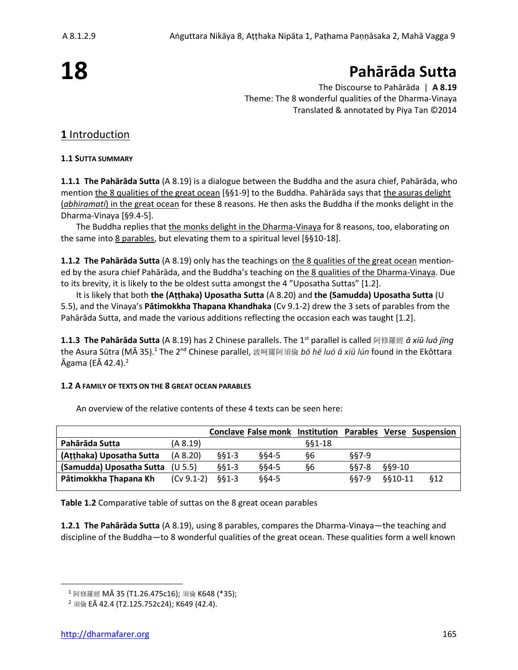# **18**

# **Pahārāda Sutta**

The Discourse to Pahārāda | **A 8.19** Theme: The 8 wonderful qualities of the Dharma-Vinaya Translated & annotated by Piya Tan ©2014

# **1** Introduction

#### **1.1 SUTTA SUMMARY**

**1.1.1 The Pahārāda Sutta** (A 8.19) is a dialogue between the Buddha and the asura chief, Pahārāda, who mention the 8 qualities of the great ocean [§§1-9] to the Buddha. Pahārāda says that the asuras delight (*abhiramati*) in the great ocean for these 8 reasons. He then asks the Buddha if the monks delight in the Dharma-Vinaya [§9.4-5].

The Buddha replies that the monks delight in the Dharma-Vinaya for 8 reasons, too, elaborating on the same into 8 parables, but elevating them to a spiritual level [§§10-18].

**1.1.2 The Pahārāda Sutta** (A 8.19) only has the teachings on the 8 qualities of the great ocean mentioned by the asura chief Pahārāda, and the Buddha's teaching on the 8 qualities of the Dharma-Vinaya. Due to its brevity, it is likely to the be oldest sutta amongst the 4 "Uposatha Suttas" [1.2].

It is likely that both **the (Aṭṭhaka) Uposatha Sutta** (A 8.20) and **the (Samudda) Uposatha Sutta** (U 5.5), and the Vinaya's **Pātimokkha Thapana Khandhaka** (Cv 9.1-2) drew the 3 sets of parables from the Pahārāda Sutta, and made the various additions reflecting the occasion each was taught [1.2].

**1.1.3 The Pahārāda Sutta** (A 8.19) has 2 Chinese parallels. The 1st parallel is called 阿修羅經 *ā xiū luó jīng* the Asura Sūtra (MĀ 35).<sup>1</sup> The 2<sup>nd</sup> Chinese parallel, 波呵羅阿須倫 bō hē luó ā xiū lún found in the Ekôttara Āgama (EĀ 42.4).<sup>2</sup>

#### **1.2 A FAMILY OF TEXTS ON THE 8 GREAT OCEAN PARABLES**

|                          |              |         | Conclave False monk Institution Parables Verse Suspension |          |       |               |      |
|--------------------------|--------------|---------|-----------------------------------------------------------|----------|-------|---------------|------|
| Pahārāda Sutta           | (A 8.19)     |         |                                                           | $§§1-18$ |       |               |      |
| (Atthaka) Uposatha Sutta | (A 8.20)     | $§§1-3$ | §§4-5                                                     | δ6       | 887-9 |               |      |
| (Samudda) Uposatha Sutta | (U 5.5)      | $§§1-3$ | §§4-5                                                     | δ6       | 887-8 | <b>§§9-10</b> |      |
| Pātimokkha Thapana Kh    | $(Cv 9.1-2)$ | 881-3   | §§4-5                                                     |          | 887-9 | \$\$10-11     | \$12 |
|                          |              |         |                                                           |          |       |               |      |

An overview of the relative contents of these 4 texts can be seen here:

**Table 1.2** Comparative table of suttas on the 8 great ocean parables

**1.2.1 The Pahārāda Sutta** (A 8.19), using 8 parables, compares the Dharma-Vinaya—the teaching and discipline of the Buddha—to 8 wonderful qualities of the great ocean. These qualities form a well known

<sup>&</sup>lt;sup>1</sup> 阿修羅經 MĀ 35 (T1.26.475c16); 須倫 K648 (\*35);

<sup>&</sup>lt;sup>2</sup> 須倫 EĀ 42.4 (T2.125.752c24); K649 (42.4).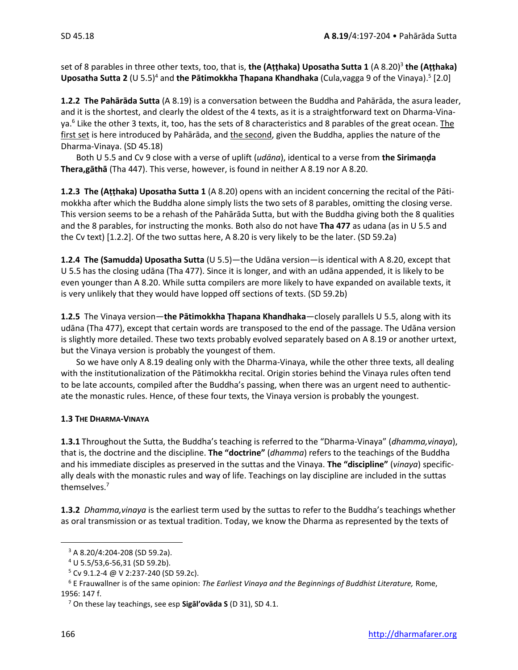set of 8 parables in three other texts, too, that is, **the (Aṭṭhaka) Uposatha Sutta 1** (A 8.20)<sup>3</sup> **the (Aṭṭhaka) Uposatha Sutta 2** (U 5.5)<sup>4</sup> and **the Pātimokkha Ṭhapana Khandhaka** (Cula,vagga 9 of the Vinaya).<sup>5</sup> [2.0]

**1.2.2 The Pahārāda Sutta** (A 8.19) is a conversation between the Buddha and Pahārāda, the asura leader, and it is the shortest, and clearly the oldest of the 4 texts, as it is a straightforward text on Dharma-Vinaya.<sup>6</sup> Like the other 3 texts, it, too, has the sets of 8 characteristics and 8 parables of the great ocean. The first set is here introduced by Pahārāda, and the second, given the Buddha, applies the nature of the Dharma-Vinaya. (SD 45.18)

Both U 5.5 and Cv 9 close with a verse of uplift (*udāna*), identical to a verse from **the Sirimaṇḍa Thera,gāthā** (Tha 447). This verse, however, is found in neither A 8.19 nor A 8.20.

**1.2.3 The (Aṭṭhaka) Uposatha Sutta 1** (A 8.20) opens with an incident concerning the recital of the Pātimokkha after which the Buddha alone simply lists the two sets of 8 parables, omitting the closing verse. This version seems to be a rehash of the Pahārāda Sutta, but with the Buddha giving both the 8 qualities and the 8 parables, for instructing the monks. Both also do not have **Tha 477** as udana (as in U 5.5 and the Cv text) [1.2.2]. Of the two suttas here, A 8.20 is very likely to be the later. (SD 59.2a)

**1.2.4 The (Samudda) Uposatha Sutta** (U 5.5)—the Udāna version—is identical with A 8.20, except that U 5.5 has the closing udāna (Tha 477). Since it is longer, and with an udāna appended, it is likely to be even younger than A 8.20. While sutta compilers are more likely to have expanded on available texts, it is very unlikely that they would have lopped off sections of texts. (SD 59.2b)

**1.2.5** The Vinaya version—**the Pātimokkha Thapana Khandhaka**—closely parallels U 5.5, along with its udāna (Tha 477), except that certain words are transposed to the end of the passage. The Udāna version is slightly more detailed. These two texts probably evolved separately based on A 8.19 or another urtext, but the Vinaya version is probably the youngest of them.

So we have only A 8.19 dealing only with the Dharma-Vinaya, while the other three texts, all dealing with the institutionalization of the Pātimokkha recital. Origin stories behind the Vinaya rules often tend to be late accounts, compiled after the Buddha's passing, when there was an urgent need to authenticate the monastic rules. Hence, of these four texts, the Vinaya version is probably the youngest.

#### **1.3 THE DHARMA-VINAYA**

**1.3.1** Throughout the Sutta, the Buddha's teaching is referred to the "Dharma-Vinaya" (*dhamma,vinaya*), that is, the doctrine and the discipline. **The "doctrine"** (*dhamma*) refers to the teachings of the Buddha and his immediate disciples as preserved in the suttas and the Vinaya. **The "discipline"** (*vinaya*) specifically deals with the monastic rules and way of life. Teachings on lay discipline are included in the suttas themselves.<sup>7</sup>

**1.3.2** *Dhamma,vinaya* is the earliest term used by the suttas to refer to the Buddha's teachings whether as oral transmission or as textual tradition. Today, we know the Dharma as represented by the texts of

 $3$  A 8.20/4:204-208 (SD 59.2a).

<sup>4</sup> U 5.5/53,6-56,31 (SD 59.2b).

 $5$  Cv 9.1.2-4 @ V 2:237-240 (SD 59.2c).

<sup>6</sup> E Frauwallner is of the same opinion: *The Earliest Vinaya and the Beginnings of Buddhist Literature,* Rome, 1956: 147 f.

<sup>7</sup> On these lay teachings, see esp **Sigāl'ovāda S** (D 31), SD 4.1.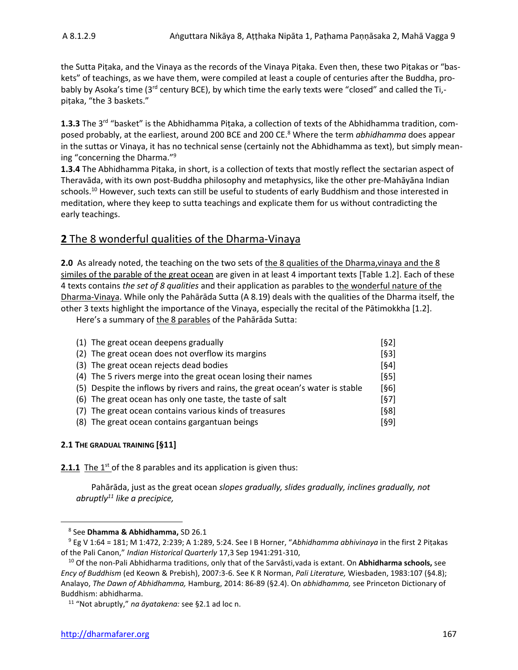the Sutta Piṭaka, and the Vinaya as the records of the Vinaya Piṭaka. Even then, these two Piṭakas or "baskets" of teachings, as we have them, were compiled at least a couple of centuries after the Buddha, probably by Asoka's time (3<sup>rd</sup> century BCE), by which time the early texts were "closed" and called the Ti,piṭaka, "the 3 baskets."

1.3.3 The 3<sup>rd</sup> "basket" is the Abhidhamma Piṭaka, a collection of texts of the Abhidhamma tradition, composed probably, at the earliest, around 200 BCE and 200 CE.<sup>8</sup> Where the term *abhidhamma* does appear in the suttas or Vinaya, it has no technical sense (certainly not the Abhidhamma as text), but simply meaning "concerning the Dharma."<sup>9</sup>

**1.3.4** The Abhidhamma Piṭaka, in short, is a collection of texts that mostly reflect the sectarian aspect of Theravāda, with its own post-Buddha philosophy and metaphysics, like the other pre-Mahāyāna Indian schools. <sup>10</sup> However, such texts can still be useful to students of early Buddhism and those interested in meditation, where they keep to sutta teachings and explicate them for us without contradicting the early teachings.

# **2** The 8 wonderful qualities of the Dharma-Vinaya

**2.0** As already noted, the teaching on the two sets of the 8 qualities of the Dharma, vinaya and the 8 similes of the parable of the great ocean are given in at least 4 important texts [Table 1.2]. Each of these 4 texts contains *the set of 8 qualities* and their application as parables to the wonderful nature of the Dharma-Vinaya. While only the Pahārāda Sutta (A 8.19) deals with the qualities of the Dharma itself, the other 3 texts highlight the importance of the Vinaya, especially the recital of the Pātimokkha [1.2].

Here's a summary of the 8 parables of the Pahārāda Sutta:

| (1) The great ocean deepens gradually                                          | [§2] |
|--------------------------------------------------------------------------------|------|
| (2) The great ocean does not overflow its margins                              | [63] |
| (3) The great ocean rejects dead bodies                                        | [64] |
| (4) The 5 rivers merge into the great ocean losing their names                 | [65] |
| (5) Despite the inflows by rivers and rains, the great ocean's water is stable | [§6] |
| (6) The great ocean has only one taste, the taste of salt                      | [67] |
| (7) The great ocean contains various kinds of treasures                        | [§8] |
| (8) The great ocean contains gargantuan beings                                 | [§9] |

#### **2.1 THE GRADUAL TRAINING [§11]**

**2.1.1** The 1<sup>st</sup> of the 8 parables and its application is given thus:

Pahārāda, just as the great ocean *slopes gradually, slides gradually, inclines gradually, not abruptly<sup>11</sup> like a precipice,*

<sup>8</sup> See **Dhamma & Abhidhamma,** SD 26.1

<sup>9</sup> Eg V 1:64 = 181; M 1:472, 2:239; A 1:289, 5:24. See I B Horner, "*Abhidhamma abhivinaya* in the first 2 Piṭakas of the Pali Canon," *Indian Historical Quarterly* 17,3 Sep 1941:291-310,

<sup>10</sup> Of the non-Pali Abhidharma traditions, only that of the Sarvâsti,vada is extant. On **Abhidharma schools,** see *Ency of Buddhism* (ed Keown & Prebish), 2007:3-6. See K R Norman, *Pali Literature,* Wiesbaden, 1983:107 (§4.8); Analayo, *The Dawn of Abhidhamma,* Hamburg, 2014: 86-89 (§2.4). On *abhidhamma,* see Princeton Dictionary of Buddhism: abhidharma.

<sup>11</sup> "Not abruptly," *na āyatakena:* see §2.1 ad loc n.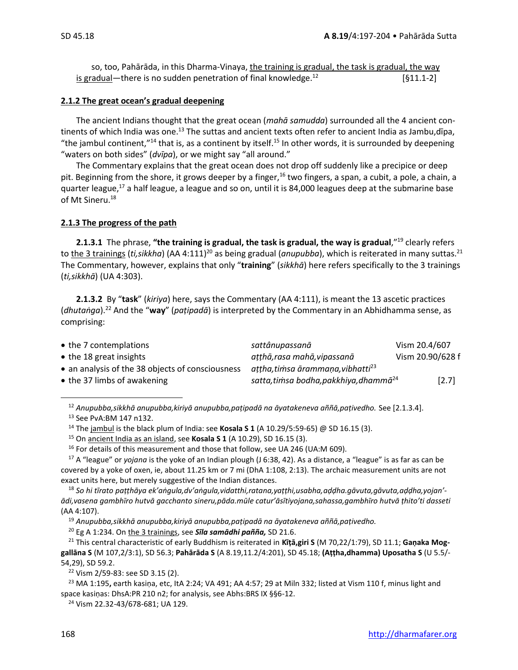so, too, Pahārāda, in this Dharma-Vinaya, the training is gradual, the task is gradual, the way is gradual—there is no sudden penetration of final knowledge. $^{12}$ [§11.1-2]

#### **2.1.2 The great ocean's gradual deepening**

The ancient Indians thought that the great ocean (*mahā samudda*) surrounded all the 4 ancient continents of which India was one.<sup>13</sup> The suttas and ancient texts often refer to ancient India as Jambu,dīpa, "the jambul continent,"<sup>14</sup> that is, as a continent by itself.<sup>15</sup> In other words, it is surrounded by deepening "waters on both sides" (*dvīpa*), or we might say "all around."

The Commentary explains that the great ocean does not drop off suddenly like a precipice or deep pit. Beginning from the shore, it grows deeper by a finger,<sup>16</sup> two fingers, a span, a cubit, a pole, a chain, a quarter league,<sup>17</sup> a half league, a league and so on, until it is 84,000 leagues deep at the submarine base of Mt Sineru. 18

#### **2.1.3 The progress of the path**

**2.1.3.1** The phrase, **"the training is gradual, the task is gradual, the way is gradual**,"<sup>19</sup> clearly refers to the 3 trainings (*ti,sikkha*) (AA 4:111)<sup>20</sup> as being gradual (*anupubba*), which is reiterated in many suttas.<sup>21</sup> The Commentary, however, explains that only "**training**" (*sikkhā*) here refers specifically to the 3 trainings (*ti,sikkhā*) (UA 4:303).

**2.1.3.2** By "**task**" (*kiriya*) here, says the Commentary (AA 4:111), is meant the 13 ascetic practices (*dhutaṅga*).<sup>22</sup> And the "**way**" (*paṭipadā*) is interpreted by the Commentary in an Abhidhamma sense, as comprising:

| • the 7 contemplations                           | sattânupassanā                                     | Vism 20.4/607    |
|--------------------------------------------------|----------------------------------------------------|------------------|
| $\bullet$ the 18 great insights                  | atthā, rasa mahā, vipassanā                        | Vism 20.90/628 f |
| • an analysis of the 38 objects of consciousness | attha, timsa ārammaņa, vibhatti <sup>23</sup>      |                  |
| • the 37 limbs of awakening                      | satta, timsa bodha, pakkhiya, dhammā <sup>24</sup> | $[2.7]$          |

<sup>12</sup> *Anupubba,sikkhā anupubba,kiriyā anupubba,paṭipadā na āyatakeneva aññā,paṭivedho.* See [2.1.3.4]. <sup>13</sup> See PvA:BM 147 n132.

<sup>14</sup> The jambul is the black plum of India: see **Kosala S 1** (A 10.29/5:59-65) @ SD 16.15 (3).

<sup>15</sup> On ancient India as an island, see **Kosala S 1** (A 10.29), SD 16.15 (3).

<sup>16</sup> For details of this measurement and those that follow, see UA 246 (UA:M 609).

<sup>17</sup> A "league" or *yojana* is the yoke of an Indian plough (J 6:38, 42). As a distance, a "league" is as far as can be covered by a yoke of oxen, ie, about 11.25 km or 7 mi (DhA 1:108, 2:13). The archaic measurement units are not exact units here, but merely suggestive of the Indian distances.

<sup>18</sup> *So hi tīrato paṭṭhāya ek'aṅgula,dv'aṅgula,vidatthi,ratana,yaṭṭhi,usabha,aḍḍha.gāvuta,gāvuta,aḍḍha,yojan' ādi,vasena gambhīro hutvā gacchanto sineru,pāda.mūle catur'āsītiyojana,sahassa,gambhīro hutvā ṭhito'ti dasseti*  (AA 4:107).

<sup>19</sup> *Anupubba,sikkhā anupubba,kiriyā anupubba,paṭipadā na āyatakeneva aññā,paṭivedho.*

<sup>20</sup> Eg A 1:234. On the 3 trainings, see *Sīla samādhi pañña,* SD 21.6.

<sup>21</sup> This central characteristic of early Buddhism is reiterated in **Kīṭā,giri S** (M 70,22/1:79), SD 11.1; **Gaṇaka Moggallāna S** (M 107,2/3:1), SD 56.3; **Pahārāda S** (A 8.19,11.2/4:201), SD 45.18; **(Aṭṭha,dhamma) Uposatha S** (U 5.5/- 54,29), SD 59.2.

<sup>22</sup> Vism 2/59-83: see SD 3.15 (2).

<sup>23</sup> MA 1:195**,** earth kasiṇa, etc, ItA 2:24; VA 491; AA 4:57; 29 at Miln 332; listed at Vism 110 f, minus light and space kasiṇas: DhsA:PR 210 n2; for analysis, see Abhs:BRS IX §§6-12.

<sup>24</sup> Vism 22.32-43/678-681; UA 129.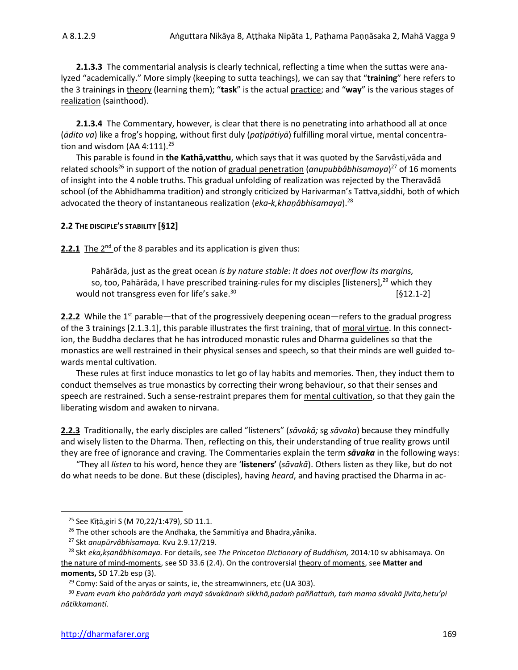**2.1.3.3** The commentarial analysis is clearly technical, reflecting a time when the suttas were analyzed "academically." More simply (keeping to sutta teachings), we can say that "**training**" here refers to the 3 trainings in theory (learning them); "**task**" is the actual practice; and "**way**" is the various stages of realization (sainthood).

**2.1.3.4** The Commentary, however, is clear that there is no penetrating into arhathood all at once (*ādito va*) like a frog's hopping, without first duly (*paṭipātiyā*) fulfilling moral virtue, mental concentration and wisdom (AA 4:111). $25$ 

This parable is found in **the Kathā,vatthu**, which says that it was quoted by the Sarvâsti,vāda and related schools<sup>26</sup> in support of the notion of gradual penetration (anupubbâbhisamaya)<sup>27</sup> of 16 moments of insight into the 4 noble truths. This gradual unfolding of realization was rejected by the Theravādā school (of the Abhidhamma tradition) and strongly criticized by Harivarman's Tattva,siddhi, both of which advocated the theory of instantaneous realization (*eka-k,khaṇâbhisamaya*).<sup>28</sup>

#### **2.2 THE DISCIPLE'S STABILITY [§12]**

**2.2.1** The 2<sup>nd</sup> of the 8 parables and its application is given thus:

Pahārāda, just as the great ocean *is by nature stable: it does not overflow its margins,* so, too, Pahārāda, I have prescribed training-rules for my disciples [listeners], $^{29}$  which they would not transgress even for life's sake.<sup>30</sup>  $[§12.1-2]$ 

2.2.2 While the 1<sup>st</sup> parable—that of the progressively deepening ocean—refers to the gradual progress of the 3 trainings [2.1.3.1], this parable illustrates the first training, that of moral virtue. In this connection, the Buddha declares that he has introduced monastic rules and Dharma guidelines so that the monastics are well restrained in their physical senses and speech, so that their minds are well guided towards mental cultivation.

These rules at first induce monastics to let go of lay habits and memories. Then, they induct them to conduct themselves as true monastics by correcting their wrong behaviour, so that their senses and speech are restrained. Such a sense-restraint prepares them for mental cultivation, so that they gain the liberating wisdom and awaken to nirvana.

**2.2.3** Traditionally, the early disciples are called "listeners" (*sāvakā;* sg *sāvaka*) because they mindfully and wisely listen to the Dharma. Then, reflecting on this, their understanding of true reality grows until they are free of ignorance and craving. The Commentaries explain the term *sāvaka* in the following ways:

"They all *listen* to his word, hence they are '**listeners'** (*sāvakā*). Others listen as they like, but do not do what needs to be done. But these (disciples), having *heard*, and having practised the Dharma in ac-

<sup>25</sup> See Kīṭā,giri S (M 70,22/1:479), SD 11.1.

<sup>&</sup>lt;sup>26</sup> The other schools are the Andhaka, the Sammitiya and Bhadra, yānika.

<sup>27</sup> Skt *anupūrvâbhisamaya.* Kvu 2.9.17/219.

<sup>28</sup> Skt *eka,kṣanâbhisamaya.* For details, see *The Princeton Dictionary of Buddhism,* 2014*:*10 sv abhisamaya. On the nature of mind-moments, see SD 33.6 (2.4). On the controversial theory of moments, see **Matter and moments,** SD 17.2b esp (3).

 $29$  Comy: Said of the aryas or saints, ie, the streamwinners, etc (UA 303).

<sup>30</sup> *Evam evaṁ kho pahārāda yaṁ mayā sāvakānaṁ sikkhā,padaṁ paññattaṁ, taṁ mama sāvakā jīvita,hetu'pi nâtikkamanti.*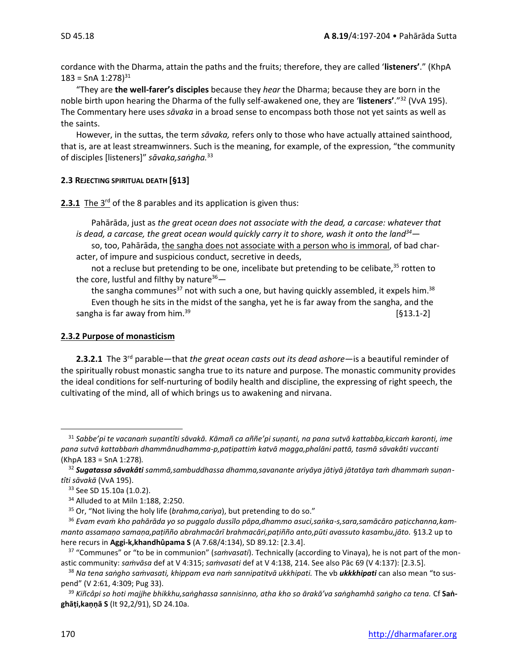cordance with the Dharma, attain the paths and the fruits; therefore, they are called '**listeners'**." (KhpA  $183 =$  SnA  $1:278$ <sup>31</sup>

"They are **the well-farer's disciples** because they *hear* the Dharma; because they are born in the noble birth upon hearing the Dharma of the fully self-awakened one, they are '**listeners'**."<sup>32</sup> (VvA 195). The Commentary here uses *sāvaka* in a broad sense to encompass both those not yet saints as well as the saints.

However, in the suttas, the term *sāvaka,* refers only to those who have actually attained sainthood, that is, are at least streamwinners. Such is the meaning, for example, of the expression, "the community of disciples [listeners]" *sāvaka,saṅgha.* 33

#### **2.3 REJECTING SPIRITUAL DEATH [§13]**

2.3.1 The 3<sup>rd</sup> of the 8 parables and its application is given thus:

Pahārāda, just as *the great ocean does not associate with the dead, a carcase: whatever that is dead, a carcase, the great ocean would quickly carry it to shore, wash it onto the land<sup>34</sup>* so, too, Pahārāda, *the sangha does not associate with a person who is immoral*, of bad char-

acter, of impure and suspicious conduct, secretive in deeds,

not a recluse but pretending to be one, incelibate but pretending to be celibate, $35$  rotten to the core, lustful and filthy by nature $36-$ 

the sangha communes<sup>37</sup> not with such a one, but having quickly assembled, it expels him.<sup>38</sup> Even though he sits in the midst of the sangha, yet he is far away from the sangha, and the sangha is far away from him.<sup>39</sup> **Solution 1988** [§13.1-2]

#### **2.3.2 Purpose of monasticism**

**2.3.2.1** The 3<sup>rd</sup> parable—that *the great ocean casts out its dead ashore*—is a beautiful reminder of the spiritually robust monastic sangha true to its nature and purpose. The monastic community provides the ideal conditions for self-nurturing of bodily health and discipline, the expressing of right speech, the cultivating of the mind, all of which brings us to awakening and nirvana.

<sup>31</sup> *Sabbe'pi te vacanaṁ suṇantîti sāvakā. Kāmañ ca aññe'pi suṇanti, na pana sutvā kattabba,kiccaṁ karonti, ime pana sutvā kattabbaṁ dhammânudhamma-p,paṭipattiṁ katvā magga,phalāni pattā, tasmā sāvakâti vuccanti*  (KhpA 183 = SnA 1:278)*.*

<sup>32</sup> *Sugatassa sāvakâti sammā,sambuddhassa dhamma,savanante ariyāya jātiyā jātatāya taṁ dhammaṁ suṇantîti sāvakā* (VvA 195).

<sup>&</sup>lt;sup>33</sup> See SD 15.10a (1.0.2).

<sup>34</sup> Alluded to at Miln 1:188, 2:250.

<sup>35</sup> Or, "Not living the holy life (*brahma,cariya*), but pretending to do so."

<sup>36</sup> *Evam evaṁ kho pahārāda yo so puggalo dussīlo pāpa,dhammo asuci,saṅka-s,sara,samācāro paṭicchanna,kammanto assamaṇo samaṇa,paṭiñño abrahmacārī brahmacāri,paṭiñño anto,pūti avassuto kasambu,jāto.* §13.2 up to here recurs in **Aggi-k,khandhûpama S** (A 7.68/4:134), SD 89.12: [2.3.4].

<sup>37</sup> "Communes" or "to be in communion" (*saṁvasati*). Technically (according to Vinaya), he is not part of the monastic community: *saṁvāsa* def at V 4:315; *saṁvasati* def at V 4:138, 214. See also Pāc 69 (V 4:137): [2.3.5].

<sup>38</sup> *Na tena saṅgho saṁvasati, khippam eva naṁ sannipatitvā ukkhipati.* The vb *ukkkhipati* can also mean "to suspend" (V 2:61, 4:309; Pug 33).

<sup>39</sup> *Kiñcâpi so hoti majjhe bhikkhu,saṅghassa sannisinno, atha kho so ārakā'va saṅghamhā saṅgho ca tena.* Cf **Saṅghāṭi,kaṇṇā S** (It 92,2/91), SD 24.10a.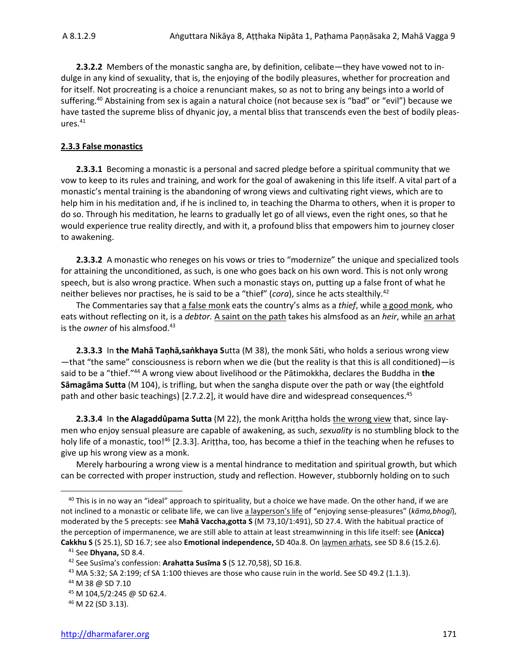**2.3.2.2** Members of the monastic sangha are, by definition, celibate—they have vowed not to indulge in any kind of sexuality, that is, the enjoying of the bodily pleasures, whether for procreation and for itself. Not procreating is a choice a renunciant makes, so as not to bring any beings into a world of suffering. <sup>40</sup> Abstaining from sex is again a natural choice (not because sex is "bad" or "evil") because we have tasted the supreme bliss of dhyanic joy, a mental bliss that transcends even the best of bodily pleas $ures.<sup>41</sup>$ 

#### **2.3.3 False monastics**

**2.3.3.1** Becoming a monastic is a personal and sacred pledge before a spiritual community that we vow to keep to its rules and training, and work for the goal of awakening in this life itself. A vital part of a monastic's mental training is the abandoning of wrong views and cultivating right views, which are to help him in his meditation and, if he is inclined to, in teaching the Dharma to others, when it is proper to do so. Through his meditation, he learns to gradually let go of all views, even the right ones, so that he would experience true reality directly, and with it, a profound bliss that empowers him to journey closer to awakening.

**2.3.3.2** A monastic who reneges on his vows or tries to "modernize" the unique and specialized tools for attaining the unconditioned, as such, is one who goes back on his own word. This is not only wrong speech, but is also wrong practice. When such a monastic stays on, putting up a false front of what he neither believes nor practises, he is said to be a "thief" (*cora*), since he acts stealthily. 42

The Commentaries say that a false monk eats the country's alms as a *thief*, while a good monk, who eats without reflecting on it, is a *debtor*. A saint on the path takes his almsfood as an *heir*, while an arhat is the *owner* of his almsfood. 43

**2.3.3.3** In **the Mahā Taṇhā,saṅkhaya S**utta (M 38), the monk Sāti, who holds a serious wrong view —that "the same" consciousness is reborn when we die (but the reality is that this is all conditioned)—is said to be a "thief." <sup>44</sup> A wrong view about livelihood or the Pātimokkha, declares the Buddha in **the Sāmagāma Sutta** (M 104), is trifling, but when the sangha dispute over the path or way (the eightfold path and other basic teachings) [2.7.2.2], it would have dire and widespread consequences.<sup>45</sup>

**2.3.3.4** In **the Alagaddûpama Sutta** (M 22), the monk Ariṭṭha holds the wrong view that, since laymen who enjoy sensual pleasure are capable of awakening, as such, *sexuality* is no stumbling block to the holy life of a monastic, too!<sup>46</sup> [2.3.3]. Arittha, too, has become a thief in the teaching when he refuses to give up his wrong view as a monk.

Merely harbouring a wrong view is a mental hindrance to meditation and spiritual growth, but which can be corrected with proper instruction, study and reflection. However, stubbornly holding on to such

<sup>&</sup>lt;sup>40</sup> This is in no way an "ideal" approach to spirituality, but a choice we have made. On the other hand, if we are not inclined to a monastic or celibate life, we can live a layperson's life of "enjoying sense-pleasures" (*kāma,bhogī*), moderated by the 5 precepts: see **Mahā Vaccha,gotta S** (M 73,10/1:491), SD 27.4. With the habitual practice of the perception of impermanence, we are still able to attain at least streamwinning in this life itself: see **(Anicca) Cakkhu S** (S 25.1), SD 16.7; see also **Emotional independence,** SD 40a.8. On laymen arhats, see SD 8.6 (15.2.6).

<sup>41</sup> See **Dhyana,** SD 8.4.

<sup>42</sup> See Susīma's confession: **Arahatta Susīma S** (S 12.70,58), SD 16.8.

 $43$  MA 5:32; SA 2:199; cf SA 1:100 thieves are those who cause ruin in the world. See SD 49.2 (1.1.3).

<sup>44</sup> M 38 @ SD 7.10

 $45$  M 104,5/2:245 @ SD 62.4.

<sup>46</sup> M 22 (SD 3.13).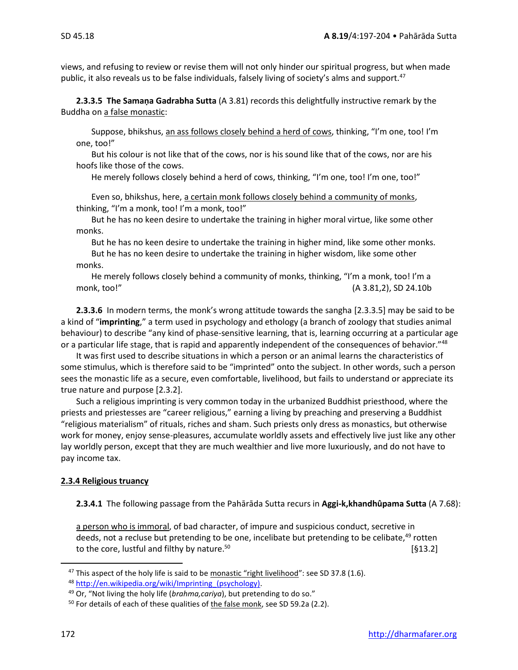views, and refusing to review or revise them will not only hinder our spiritual progress, but when made public, it also reveals us to be false individuals, falsely living of society's alms and support.<sup>47</sup>

**2.3.3.5 The Samaṇa Gadrabha Sutta** (A 3.81) records this delightfully instructive remark by the Buddha on a false monastic:

Suppose, bhikshus, an ass follows closely behind a herd of cows, thinking, "I'm one, too! I'm one, too!"

But his colour is not like that of the cows, nor is his sound like that of the cows, nor are his hoofs like those of the cows.

He merely follows closely behind a herd of cows, thinking, "I'm one, too! I'm one, too!"

Even so, bhikshus, here, a certain monk follows closely behind a community of monks, thinking, "I'm a monk, too! I'm a monk, too!"

But he has no keen desire to undertake the training in higher moral virtue, like some other monks.

But he has no keen desire to undertake the training in higher mind, like some other monks.

But he has no keen desire to undertake the training in higher wisdom, like some other monks.

He merely follows closely behind a community of monks, thinking, "I'm a monk, too! I'm a monk, too!" (A 3.81,2), SD 24.10b

**2.3.3.6** In modern terms, the monk's wrong attitude towards the sangha [2.3.3.5] may be said to be a kind of "**imprinting**," a term used in psychology and ethology (a branch of zoology that studies animal behaviour) to describe "any kind of phase-sensitive learning, that is, learning occurring at a particular age or a particular life stage, that is rapid and apparently independent of the consequences of behavior."<sup>48</sup>

It was first used to describe situations in which a person or an animal learns the characteristics of some stimulus, which is therefore said to be "imprinted" onto the subject. In other words, such a person sees the monastic life as a secure, even comfortable, livelihood, but fails to understand or appreciate its true nature and purpose [2.3.2].

Such a religious imprinting is very common today in the urbanized Buddhist priesthood, where the priests and priestesses are "career religious," earning a living by preaching and preserving a Buddhist "religious materialism" of rituals, riches and sham. Such priests only dress as monastics, but otherwise work for money, enjoy sense-pleasures, accumulate worldly assets and effectively live just like any other lay worldly person, except that they are much wealthier and live more luxuriously, and do not have to pay income tax.

#### **2.3.4 Religious truancy**

#### **2.3.4.1** The following passage from the Pahārāda Sutta recurs in **Aggi-k,khandhûpama Sutta** (A 7.68):

a person who is immoral, of bad character, of impure and suspicious conduct, secretive in deeds, not a recluse but pretending to be one, incelibate but pretending to be celibate.<sup>49</sup> rotten to the core, lustful and filthy by nature.<sup>50</sup>  $[§13.2]$ 

<sup>&</sup>lt;sup>47</sup> This aspect of the holy life is said to be monastic "right livelihood": see SD 37.8 (1.6).

<sup>48</sup> [http://en.wikipedia.org/wiki/Imprinting\\_\(psychology\).](http://en.wikipedia.org/wiki/Imprinting_(psychology))

<sup>49</sup> Or, "Not living the holy life (*brahma,cariya*), but pretending to do so."

<sup>&</sup>lt;sup>50</sup> For details of each of these qualities of the false monk, see SD 59.2a (2.2).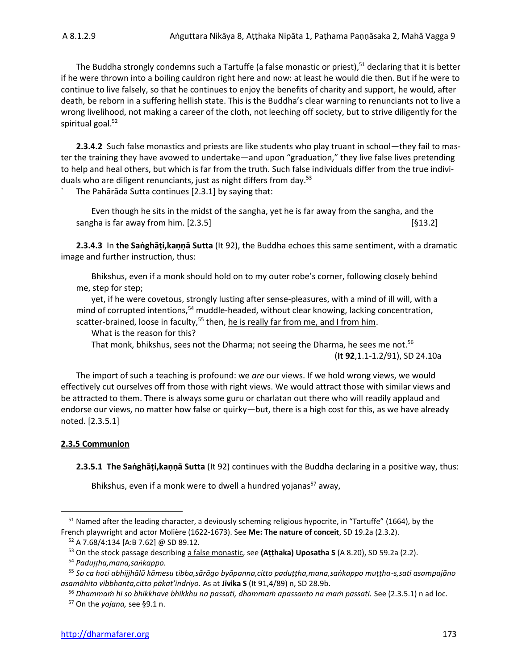The Buddha strongly condemns such a Tartuffe (a false monastic or priest), <sup>51</sup> declaring that it is better if he were thrown into a boiling cauldron right here and now: at least he would die then. But if he were to continue to live falsely, so that he continues to enjoy the benefits of charity and support, he would, after death, be reborn in a suffering hellish state. This is the Buddha's clear warning to renunciants not to live a wrong livelihood, not making a career of the cloth, not leeching off society, but to strive diligently for the spiritual goal.<sup>52</sup>

**2.3.4.2** Such false monastics and priests are like students who play truant in school—they fail to master the training they have avowed to undertake—and upon "graduation," they live false lives pretending to help and heal others, but which is far from the truth. Such false individuals differ from the true individuals who are diligent renunciants, just as night differs from day.<sup>53</sup>

The Pahārāda Sutta continues [2.3.1] by saying that:

Even though he sits in the midst of the sangha, yet he is far away from the sangha, and the sangha is far away from him. [2.3.5] [§13.2]

**2.3.4.3** In **the Saṅghāṭi,kaṇṇā Sutta** (It 92), the Buddha echoes this same sentiment, with a dramatic image and further instruction, thus:

Bhikshus, even if a monk should hold on to my outer robe's corner, following closely behind me, step for step;

yet, if he were covetous, strongly lusting after sense-pleasures, with a mind of ill will, with a mind of corrupted intentions,<sup>54</sup> muddle-headed, without clear knowing, lacking concentration, scatter-brained, loose in faculty,<sup>55</sup> then, he is really far from me, and I from him.

What is the reason for this?

That monk, bhikshus, sees not the Dharma; not seeing the Dharma, he sees me not.<sup>56</sup> (**It 92**,1.1-1.2/91), SD 24.10a

The import of such a teaching is profound: we *are* our views. If we hold wrong views, we would effectively cut ourselves off from those with right views. We would attract those with similar views and be attracted to them. There is always some guru or charlatan out there who will readily applaud and endorse our views, no matter how false or quirky—but, there is a high cost for this, as we have already noted. [2.3.5.1]

#### **2.3.5 Communion**

**2.3.5.1 The Saṅghāṭi,kaṇṇā Sutta** (It 92) continues with the Buddha declaring in a positive way, thus:

Bhikshus, even if a monk were to dwell a hundred yojanas<sup>57</sup> away,

<sup>&</sup>lt;sup>51</sup> Named after the leading character, a deviously scheming religious hypocrite, in "Tartuffe" (1664), by the French playwright and actor Molière (1622-1673). See **Me: The nature of conceit**, SD 19.2a (2.3.2).

<sup>52</sup> A 7.68/4:134 [A:B 7.62] @ SD 89.12.

<sup>53</sup> On the stock passage describing a false monastic, see **(Aṭṭhaka) Uposatha S** (A 8.20), SD 59.2a (2.2).

<sup>54</sup> *Paduha,mana,sakappo.*

<sup>55</sup> *So ca hoti abhijjhālū kāmesu tibba,sārāgo byāpanna,citto paduṭṭha,mana,saṅkappo muṭṭha-s,sati asampajāno asamāhito vibbhanta,citto pākat'indriyo.* As at **Jīvika S** (It 91,4/89) n, SD 28.9b.

<sup>56</sup> *Dhammaṁ hi so bhikkhave bhikkhu na passati, dhammaṁ apassanto na maṁ passati.* See (2.3.5.1) n ad loc.

<sup>57</sup> On the *yojana,* see §9.1 n.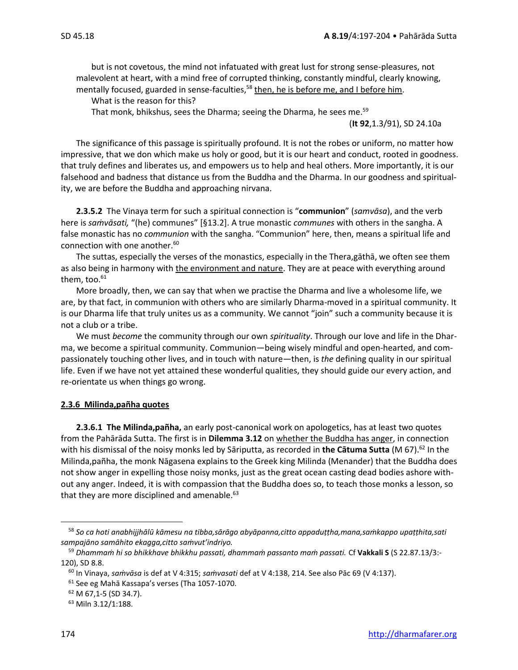but is not covetous, the mind not infatuated with great lust for strong sense-pleasures, not malevolent at heart, with a mind free of corrupted thinking, constantly mindful, clearly knowing, mentally focused, guarded in sense-faculties,<sup>58</sup> then, he is before me, and I before him.

What is the reason for this?

That monk, bhikshus, sees the Dharma; seeing the Dharma, he sees me.<sup>59</sup>

(**It 92**,1.3/91), SD 24.10a

The significance of this passage is spiritually profound. It is not the robes or uniform, no matter how impressive, that we don which make us holy or good, but it is our heart and conduct, rooted in goodness. that truly defines and liberates us, and empowers us to help and heal others. More importantly, it is our falsehood and badness that distance us from the Buddha and the Dharma. In our goodness and spirituality, we are before the Buddha and approaching nirvana.

**2.3.5.2** The Vinaya term for such a spiritual connection is "**communion**" (*samvāsa*), and the verb here is *saṁvāsati,* "(he) communes" [§13.2]. A true monastic *communes* with others in the sangha. A false monastic has no *communion* with the sangha. "Communion" here, then, means a spiritual life and connection with one another.<sup>60</sup>

The suttas, especially the verses of the monastics, especially in the Thera,gāthā, we often see them as also being in harmony with the environment and nature. They are at peace with everything around them, too.<sup>61</sup>

More broadly, then, we can say that when we practise the Dharma and live a wholesome life, we are, by that fact, in communion with others who are similarly Dharma-moved in a spiritual community. It is our Dharma life that truly unites us as a community. We cannot "join" such a community because it is not a club or a tribe.

We must *become* the community through our own *spirituality*. Through our love and life in the Dharma, we become a spiritual community. Communion—being wisely mindful and open-hearted, and compassionately touching other lives, and in touch with nature—then, is *the* defining quality in our spiritual life. Even if we have not yet attained these wonderful qualities, they should guide our every action, and re-orientate us when things go wrong.

#### **2.3.6 Milinda,pañha quotes**

**2.3.6.1 The Milinda,pañha,** an early post-canonical work on apologetics, has at least two quotes from the Pahārāda Sutta. The first is in **Dilemma 3.12** on whether the Buddha has anger, in connection with his dismissal of the noisy monks led by Sāriputta, as recorded in the Cātuma Sutta (M 67).<sup>62</sup> In the Milinda,pañha, the monk Nāgasena explains to the Greek king Milinda (Menander) that the Buddha does not show anger in expelling those noisy monks, just as the great ocean casting dead bodies ashore without any anger. Indeed, it is with compassion that the Buddha does so, to teach those monks a lesson, so that they are more disciplined and amenable. $^{63}$ 

<sup>58</sup> *So ca hoti anabhijjhālū kāmesu na tibba,sārāgo abyāpanna,citto appaduṭṭha,mana,saṁkappo upaṭṭhita,sati sampajāno samāhito ekagga,citto saṁvut'indriyo.*

<sup>59</sup> *Dhammaṁ hi so bhikkhave bhikkhu passati, dhammaṁ passanto maṁ passati.* Cf **Vakkali S** (S 22.87.13/3:- 120), SD 8.8.

<sup>60</sup> In Vinaya, *saṁvāsa* is def at V 4:315; *saṁvasati* def at V 4:138, 214. See also Pāc 69 (V 4:137).

<sup>61</sup> See eg Mahā Kassapa's verses (Tha 1057-1070.

<sup>62</sup> M 67,1-5 (SD 34.7).

<sup>63</sup> Miln 3.12/1:188.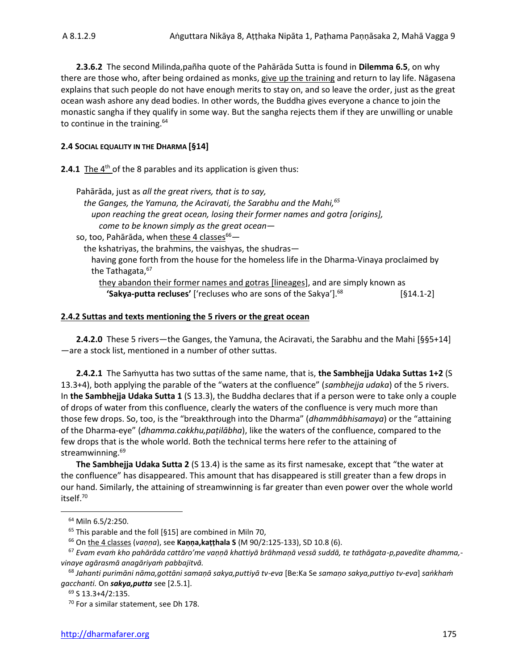**2.3.6.2** The second Milinda,pañha quote of the Pahārāda Sutta is found in **Dilemma 6.5**, on why there are those who, after being ordained as monks, give up the training and return to lay life. Nāgasena explains that such people do not have enough merits to stay on, and so leave the order, just as the great ocean wash ashore any dead bodies. In other words, the Buddha gives everyone a chance to join the monastic sangha if they qualify in some way. But the sangha rejects them if they are unwilling or unable to continue in the training. $64$ 

#### **2.4 SOCIAL EQUALITY IN THE DHARMA [§14]**

**2.4.1** The 4<sup>th</sup> of the 8 parables and its application is given thus:

| Pahārāda, just as all the great rivers, that is to say,                                   |           |
|-------------------------------------------------------------------------------------------|-----------|
| the Ganges, the Yamuna, the Aciravati, the Sarabhu and the Mahi, 65                       |           |
| upon reaching the great ocean, losing their former names and gotra [oriqins],             |           |
| come to be known simply as the great ocean-                                               |           |
| so, too, Pahārāda, when these 4 classes <sup>66</sup> —                                   |           |
| the kshatriyas, the brahmins, the vaishyas, the shudras-                                  |           |
| having gone forth from the house for the homeless life in the Dharma-Vinaya proclaimed by |           |
| the Tathagata, 67                                                                         |           |
| they abandon their former names and gotras [lineages], and are simply known as            |           |
| 'Sakya-putta recluses' ['recluses who are sons of the Sakya']. <sup>68</sup>              | [§14.1-2] |
|                                                                                           |           |

#### **2.4.2 Suttas and texts mentioning the 5 rivers or the great ocean**

**2.4.2.0** These 5 rivers—the Ganges, the Yamuna, the Aciravati, the Sarabhu and the Mahi [§§5+14] —are a stock list, mentioned in a number of other suttas.

**2.4.2.1** The Saṁyutta has two suttas of the same name, that is, **the Sambhejja Udaka Suttas 1+2** (S 13.3+4), both applying the parable of the "waters at the confluence" (*sambhejja udaka*) of the 5 rivers. In **the Sambhejja Udaka Sutta 1** (S 13.3), the Buddha declares that if a person were to take only a couple of drops of water from this confluence, clearly the waters of the confluence is very much more than those few drops. So, too, is the "breakthrough into the Dharma" (*dhammâbhisamaya*) or the "attaining of the Dharma-eye" (*dhamma.cakkhu,paṭilābha*), like the waters of the confluence, compared to the few drops that is the whole world. Both the technical terms here refer to the attaining of streamwinning. 69

**The Sambhejja Udaka Sutta 2** (S 13.4) is the same as its first namesake, except that "the water at the confluence" has disappeared. This amount that has disappeared is still greater than a few drops in our hand. Similarly, the attaining of streamwinning is far greater than even power over the whole world itself.<sup>70</sup>

<sup>64</sup> Miln 6.5/2:250.

 $65$  This parable and the foll [§15] are combined in Miln 70,

<sup>66</sup> On the 4 classes (*vaṇṇa*), see **Kaṇṇa,kaṭṭhala S** (M 90/2:125-133), SD 10.8 (6).

<sup>67</sup> *Evam evaṁ kho pahārāda cattāro'me vaṇṇā khattiyā brāhmaṇā vessā suddā, te tathāgata-p,pavedite dhamma, vinaye agārasmā anagāriyaṁ pabbajitvā.*

<sup>68</sup> *Jahanti purimāni nāma,gottāni samaṇā sakya,puttiyā tv-eva* [Be:Ka Se *samaṇo sakya,puttiyo tv-eva*] *saṅkhaṁ gacchanti.* On *sakya,putta* see [2.5.1].

<sup>69</sup> S 13.3+4/2:135.

<sup>70</sup> For a similar statement, see Dh 178.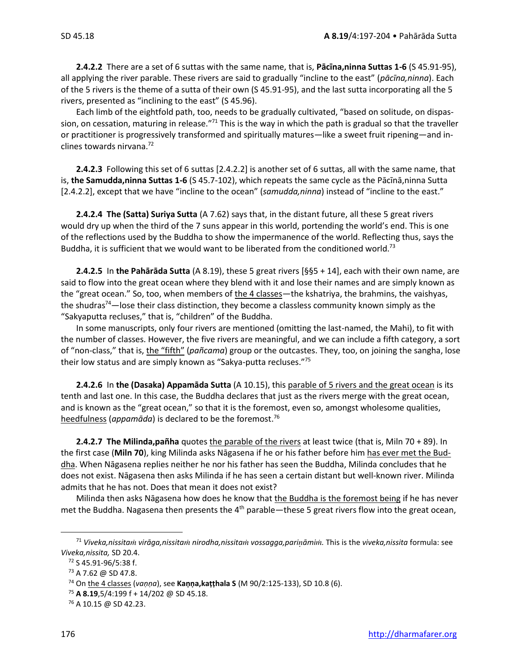**2.4.2.2** There are a set of 6 suttas with the same name, that is, **Pācīna,ninna Suttas 1-6** (S 45.91-95), all applying the river parable. These rivers are said to gradually "incline to the east" (*pācīna,ninna*). Each of the 5 rivers is the theme of a sutta of their own (S 45.91-95), and the last sutta incorporating all the 5 rivers, presented as "inclining to the east" (S 45.96).

Each limb of the eightfold path, too, needs to be gradually cultivated, "based on solitude, on dispassion, on cessation, maturing in release."<sup>71</sup> This is the way in which the path is gradual so that the traveller or practitioner is progressively transformed and spiritually matures—like a sweet fruit ripening—and inclines towards nirvana.<sup>72</sup>

**2.4.2.3** Following this set of 6 suttas [2.4.2.2] is another set of 6 suttas, all with the same name, that is, **the Samudda,ninna Suttas 1-6** (S 45.7-102), which repeats the same cycle as the Pācīnā,ninna Sutta [2.4.2.2], except that we have "incline to the ocean" (*samudda,ninna*) instead of "incline to the east."

**2.4.2.4 The (Satta) Suriya Sutta** (A 7.62) says that, in the distant future, all these 5 great rivers would dry up when the third of the 7 suns appear in this world, portending the world's end. This is one of the reflections used by the Buddha to show the impermanence of the world. Reflecting thus, says the Buddha, it is sufficient that we would want to be liberated from the conditioned world.<sup>73</sup>

**2.4.2.5** In **the Pahārāda Sutta** (A 8.19), these 5 great rivers [§§5 + 14], each with their own name, are said to flow into the great ocean where they blend with it and lose their names and are simply known as the "great ocean." So, too, when members of the 4 classes—the kshatriya, the brahmins, the vaishyas, the shudras<sup>74</sup>—lose their class distinction, they become a classless community known simply as the "Sakyaputta recluses," that is, "children" of the Buddha.

In some manuscripts, only four rivers are mentioned (omitting the last-named, the Mahi), to fit with the number of classes. However, the five rivers are meaningful, and we can include a fifth category, a sort of "non-class," that is, the "fifth" (*pañcama*) group or the outcastes. They, too, on joining the sangha, lose their low status and are simply known as "Sakya-putta recluses."<sup>75</sup>

**2.4.2.6** In **the (Dasaka) Appamāda Sutta** (A 10.15), this parable of 5 rivers and the great ocean is its tenth and last one. In this case, the Buddha declares that just as the rivers merge with the great ocean, and is known as the "great ocean," so that it is the foremost, even so, amongst wholesome qualities, heedfulness (*appamāda*) is declared to be the foremost. 76

**2.4.2.7 The Milinda,pañha** quotes the parable of the rivers at least twice (that is, Miln 70 + 89). In the first case (**Miln 70**), king Milinda asks Nāgasena if he or his father before him has ever met the Buddha. When Nāgasena replies neither he nor his father has seen the Buddha, Milinda concludes that he does not exist. Nāgasena then asks Milinda if he has seen a certain distant but well-known river. Milinda admits that he has not. Does that mean it does not exist?

Milinda then asks Nāgasena how does he know that the Buddha is the foremost being if he has never met the Buddha. Nagasena then presents the 4<sup>th</sup> parable—these 5 great rivers flow into the great ocean,

<sup>71</sup> *Viveka,nissita virāga,nissita nirodha,nissita vossagga,pariāmi.* This is the *viveka,nissita* formula: see *Viveka,nissita,* SD 20.4.

<sup>72</sup> S 45.91-96/5:38 f.

<sup>73</sup> A 7.62 @ SD 47.8.

<sup>74</sup> On the 4 classes (*vaṇṇa*), see **Kaṇṇa,kaṭṭhala S** (M 90/2:125-133), SD 10.8 (6).

<sup>75</sup> **A 8.19**,5/4:199 f + 14/202 @ SD 45.18.

<sup>76</sup> A 10.15 @ SD 42.23.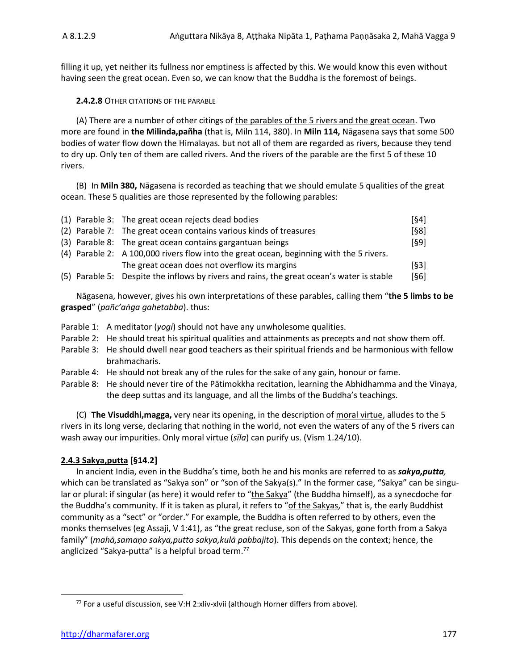filling it up, yet neither its fullness nor emptiness is affected by this. We would know this even without having seen the great ocean. Even so, we can know that the Buddha is the foremost of beings.

#### **2.4.2.8** OTHER CITATIONS OF THE PARABLE

(A) There are a number of other citings of the parables of the 5 rivers and the great ocean. Two more are found in **the Milinda,pañha** (that is, Miln 114, 380). In **Miln 114,** Nāgasena says that some 500 bodies of water flow down the Himalayas. but not all of them are regarded as rivers, because they tend to dry up. Only ten of them are called rivers. And the rivers of the parable are the first 5 of these 10 rivers.

(B) In **Miln 380,** Nāgasena is recorded as teaching that we should emulate 5 qualities of the great ocean. These 5 qualities are those represented by the following parables:

|  | (1) Parable 3: The great ocean rejects dead bodies                                        | $[§4]$ |
|--|-------------------------------------------------------------------------------------------|--------|
|  | (2) Parable 7: The great ocean contains various kinds of treasures                        | $[§8]$ |
|  | (3) Parable 8: The great ocean contains gargantuan beings                                 | [§9]   |
|  | (4) Parable 2: A 100,000 rivers flow into the great ocean, beginning with the 5 rivers.   |        |
|  | The great ocean does not overflow its margins                                             | [§3]   |
|  | (5) Parable 5: Despite the inflows by rivers and rains, the great ocean's water is stable | [§6]   |

Nāgasena, however, gives his own interpretations of these parables, calling them "**the 5 limbs to be grasped**" (*pañc'aṅga gahetabba*). thus:

- Parable 1: A meditator (*yogi*) should not have any unwholesome qualities.
- Parable 2: He should treat his spiritual qualities and attainments as precepts and not show them off.
- Parable 3: He should dwell near good teachers as their spiritual friends and be harmonious with fellow brahmacharis.
- Parable 4: He should not break any of the rules for the sake of any gain, honour or fame.
- Parable 8: He should never tire of the Pātimokkha recitation, learning the Abhidhamma and the Vinaya, the deep suttas and its language, and all the limbs of the Buddha's teachings.

(C) **The Visuddhi,magga,** very near its opening, in the description of moral virtue, alludes to the 5 rivers in its long verse, declaring that nothing in the world, not even the waters of any of the 5 rivers can wash away our impurities. Only moral virtue (*sīla*) can purify us. (Vism 1.24/10).

#### **2.4.3 Sakya,putta [§14.2]**

In ancient India, even in the Buddha's time, both he and his monks are referred to as *sakya,putta,*  which can be translated as "Sakya son" or "son of the Sakya(s)." In the former case, "Sakya" can be singular or plural: if singular (as here) it would refer to "the Sakya" (the Buddha himself), as a synecdoche for the Buddha's community. If it is taken as plural, it refers to "of the Sakyas," that is, the early Buddhist community as a "sect" or "order." For example, the Buddha is often referred to by others, even the monks themselves (eg Assaji, V 1:41), as "the great recluse, son of the Sakyas, gone forth from a Sakya family" (*mahā,samaṇo sakya,putto sakya,kulā pabbajito*). This depends on the context; hence, the anglicized "Sakya-putta" is a helpful broad term.<sup>77</sup>

<sup>77</sup> For a useful discussion, see V:H 2:xliv-xlvii (although Horner differs from above).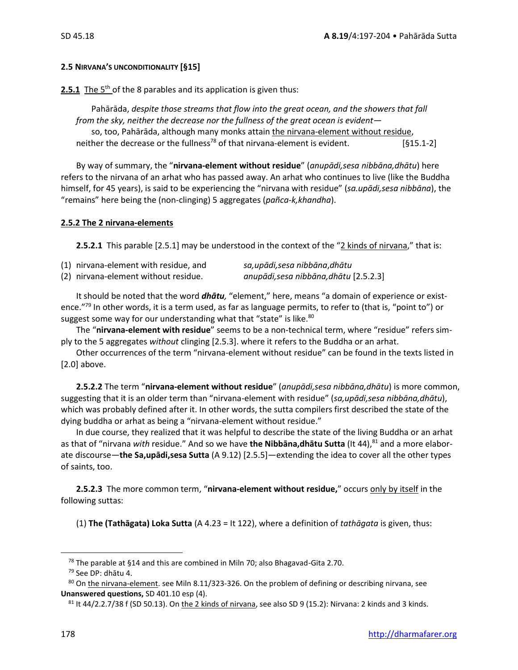#### **2.5 NIRVANA'S UNCONDITIONALITY [§15]**

**2.5.1** The 5<sup>th</sup> of the 8 parables and its application is given thus:

Pahārāda, *despite those streams that flow into the great ocean, and the showers that fall from the sky, neither the decrease nor the fullness of the great ocean is evident* so, too, Pahārāda, although many monks attain the nirvana-element without residue, neither the decrease or the fullness<sup>78</sup> of that nirvana-element is evident.  $[§15.1-2]$ 

By way of summary, the "**nirvana-element without residue**" (*anupādi,sesa nibbāna,dhātu*) here refers to the nirvana of an arhat who has passed away. An arhat who continues to live (like the Buddha himself, for 45 years), is said to be experiencing the "nirvana with residue" (*sa.upādi,sesa nibbāna*), the "remains" here being the (non-clinging) 5 aggregates (*pañca-k,khandha*).

#### **2.5.2 The 2 nirvana-elements**

**2.5.2.1** This parable [2.5.1] may be understood in the context of the "2 kinds of nirvana," that is:

| (1) nirvana-element with residue, and | sa,upādi,sesa nibbāna,dhātu            |
|---------------------------------------|----------------------------------------|
| (2) nirvana-element without residue.  | anupādi, sesa nibbāna, dhātu [2.5.2.3] |

It should be noted that the word *dhātu,* "element," here, means "a domain of experience or existence."<sup>79</sup> In other words, it is a term used, as far as language permits, to refer to (that is, "point to") or suggest some way for our understanding what that "state" is like.<sup>80</sup>

The "**nirvana-element with residue**" seems to be a non-technical term, where "residue" refers simply to the 5 aggregates *without* clinging [2.5.3]. where it refers to the Buddha or an arhat.

Other occurrences of the term "nirvana-element without residue" can be found in the texts listed in [2.0] above.

**2.5.2.2** The term "**nirvana-element without residue**" (*anupādi,sesa nibbāna,dhātu*) is more common, suggesting that it is an older term than "nirvana-element with residue" (*sa,upādi,sesa nibbāna,dhātu*), which was probably defined after it. In other words, the sutta compilers first described the state of the dying buddha or arhat as being a "nirvana-element without residue."

In due course, they realized that it was helpful to describe the state of the living Buddha or an arhat as that of "nirvana *with* residue." And so we have **the Nibbāna,dhātu Sutta** (It 44),<sup>81</sup> and a more elaborate discourse—**the Sa,upādi,sesa Sutta** (A 9.12) [2.5.5]—extending the idea to cover all the other types of saints, too.

**2.5.2.3** The more common term, "**nirvana-element without residue,**" occurs only by itself in the following suttas:

(1) **The (Tathāgata) Loka Sutta** (A 4.23 = It 122), where a definition of *tathāgata* is given, thus:

<sup>&</sup>lt;sup>78</sup> The parable at §14 and this are combined in Miln 70; also Bhagavad-Gita 2.70.

<sup>79</sup> See DP: dhātu 4.

<sup>80</sup> On the nirvana-element. see Miln 8.11/323-326. On the problem of defining or describing nirvana, see **Unanswered questions,** SD 401.10 esp (4).

 $81$  It 44/2.2.7/38 f (SD 50.13). On the 2 kinds of nirvana, see also SD 9 (15.2): Nirvana: 2 kinds and 3 kinds.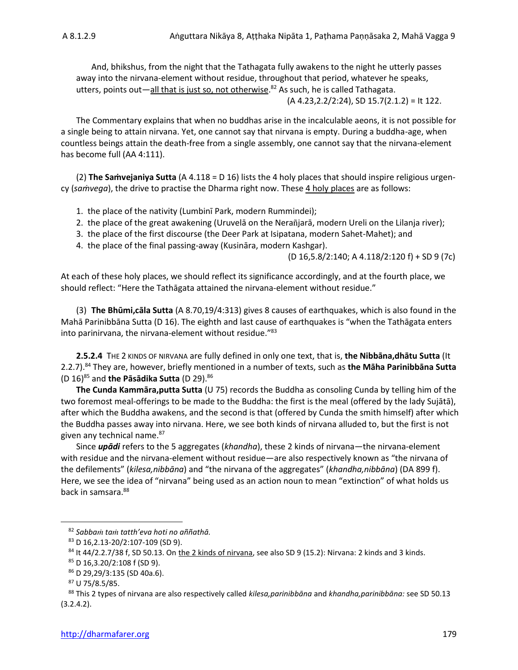And, bhikshus, from the night that the Tathagata fully awakens to the night he utterly passes away into the nirvana-element without residue, throughout that period, whatever he speaks, utters, points out—all that is just so, not otherwise.<sup>82</sup> As such, he is called Tathagata. (A 4.23,2.2/2:24), SD 15.7(2.1.2) = It 122.

The Commentary explains that when no buddhas arise in the incalculable aeons, it is not possible for a single being to attain nirvana. Yet, one cannot say that nirvana is empty. During a buddha-age, when countless beings attain the death-free from a single assembly, one cannot say that the nirvana-element has become full (AA 4:111).

(2) **The Saṁvejaniya Sutta** (A 4.118 = D 16) lists the 4 holy places that should inspire religious urgency (*saṁvega*), the drive to practise the Dharma right now. These 4 holy places are as follows:

- 1. the place of the nativity (Lumbinī Park, modern Rummindei);
- 2. the place of the great awakening (Uruvelā on the Nerañjarā, modern Ureli on the Lilanja river);
- 3. the place of the first discourse (the Deer Park at Isipatana, modern Sahet-Mahet); and
- 4. the place of the final passing-away (Kusināra, modern Kashgar).

(D 16,5.8/2:140; A 4.118/2:120 f) + SD 9 (7c)

At each of these holy places, we should reflect its significance accordingly, and at the fourth place, we should reflect: "Here the Tathāgata attained the nirvana-element without residue."

(3) **The Bhūmi,cāla Sutta** (A 8.70,19/4:313) gives 8 causes of earthquakes, which is also found in the Mahā Parinibbāna Sutta (D 16). The eighth and last cause of earthquakes is "when the Tathāgata enters into parinirvana, the nirvana-element without residue."<sup>83</sup>

**2.5.2.4** THE 2 KINDS OF NIRVANA are fully defined in only one text, that is, **the Nibbāna,dhātu Sutta** (It 2.2.7). <sup>84</sup> They are, however, briefly mentioned in a number of texts, such as **the Māha Parinibbāna Sutta**  (D 16) <sup>85</sup> and **the Pāsādika Sutta** (D 29).<sup>86</sup>

**The Cunda Kammāra,putta Sutta** (U 75) records the Buddha as consoling Cunda by telling him of the two foremost meal-offerings to be made to the Buddha: the first is the meal (offered by the lady Sujātā), after which the Buddha awakens, and the second is that (offered by Cunda the smith himself) after which the Buddha passes away into nirvana. Here, we see both kinds of nirvana alluded to, but the first is not given any technical name.<sup>87</sup>

Since *upādi* refers to the 5 aggregates (*khandha*), these 2 kinds of nirvana—the nirvana-element with residue and the nirvana-element without residue—are also respectively known as "the nirvana of the defilements" (*kilesa,nibbāna*) and "the nirvana of the aggregates" (*khandha,nibbāna*) (DA 899 f). Here, we see the idea of "nirvana" being used as an action noun to mean "extinction" of what holds us back in samsara.<sup>88</sup>

<sup>82</sup> *Sabba ta tatth'eva hoti no aññathā.*

<sup>83</sup> D 16,2.13-20/2:107-109 (SD 9).

 $84$  It 44/2.2.7/38 f, SD 50.13. On the 2 kinds of nirvana, see also SD 9 (15.2): Nirvana: 2 kinds and 3 kinds.

<sup>85</sup> D 16,3.20/2:108 f (SD 9).

<sup>86</sup> D 29,29/3:135 (SD 40a.6).

<sup>87</sup> U 75/8.5/85.

<sup>88</sup> This 2 types of nirvana are also respectively called *kilesa,parinibbāna* and *khandha,parinibbāna:* see SD 50.13 (3.2.4.2).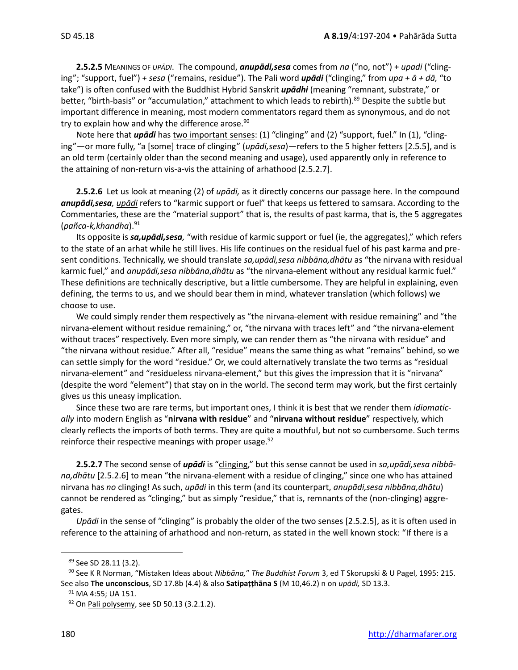**2.5.2.5** MEANINGS OF *UPĀDI*. The compound, *anupādi,sesa* comes from *na* ("no, not") + *upadi* ("clinging"; "support, fuel") *+ sesa* ("remains, residue"). The Pali word *upādi* ("clinging," from *upa + ā + dā,* "to take") is often confused with the Buddhist Hybrid Sanskrit *upādhi* (meaning "remnant, substrate," or better, "birth-basis" or "accumulation," attachment to which leads to rebirth).<sup>89</sup> Despite the subtle but important difference in meaning, most modern commentators regard them as synonymous, and do not try to explain how and why the difference arose.<sup>90</sup>

Note here that *upādi* has two important senses: (1) "clinging" and (2) "support, fuel." In (1), "clinging"—or more fully, "a [some] trace of clinging" (*upādi,sesa*)—refers to the 5 higher fetters [2.5.5], and is an old term (certainly older than the second meaning and usage), used apparently only in reference to the attaining of non-return vis-a-vis the attaining of arhathood [2.5.2.7].

**2.5.2.6** Let us look at meaning (2) of *upādi,* as it directly concerns our passage here. In the compound *anupādi,sesa, upādi* refers to "karmic support or fuel" that keeps us fettered to samsara. According to the Commentaries, these are the "material support" that is, the results of past karma, that is, the 5 aggregates (*pañca-k,khandha*).<sup>91</sup>

Its opposite is *sa,upādi,sesa,* "with residue of karmic support or fuel (ie, the aggregates)," which refers to the state of an arhat while he still lives. His life continues on the residual fuel of his past karma and present conditions. Technically, we should translate *sa,upādi,sesa nibbāna,dhātu* as "the nirvana with residual karmic fuel," and *anupādi,sesa nibbāna*,*dhātu* as "the nirvana-element without any residual karmic fuel." These definitions are technically descriptive, but a little cumbersome. They are helpful in explaining, even defining, the terms to us, and we should bear them in mind, whatever translation (which follows) we choose to use.

We could simply render them respectively as "the nirvana-element with residue remaining" and "the nirvana-element without residue remaining," or, "the nirvana with traces left" and "the nirvana-element without traces" respectively. Even more simply, we can render them as "the nirvana with residue" and "the nirvana without residue." After all, "residue" means the same thing as what "remains" behind, so we can settle simply for the word "residue." Or, we could alternatively translate the two terms as "residual nirvana-element" and "residueless nirvana-element," but this gives the impression that it is "nirvana" (despite the word "element") that stay on in the world. The second term may work, but the first certainly gives us this uneasy implication.

Since these two are rare terms, but important ones, I think it is best that we render them *idiomatically* into modern English as "**nirvana with residue**" and "**nirvana without residue**" respectively, which clearly reflects the imports of both terms. They are quite a mouthful, but not so cumbersome. Such terms reinforce their respective meanings with proper usage.<sup>92</sup>

**2.5.2.7** The second sense of *upādi* is "clinging," but this sense cannot be used in *sa,upādi,sesa nibbāna,dhātu* [2.5.2.6] to mean "the nirvana-element with a residue of clinging," since one who has attained nirvana has *no* clinging! As such, *upādi* in this term (and its counterpart, *anupādi,sesa nibbāna,dhātu*) cannot be rendered as "clinging," but as simply "residue," that is, remnants of the (non-clinging) aggregates.

*Upādi* in the sense of "clinging" is probably the older of the two senses [2.5.2.5], as it is often used in reference to the attaining of arhathood and non-return, as stated in the well known stock: "If there is a

<sup>89</sup> See SD 28.11 (3.2).

<sup>90</sup> See K R Norman, "Mistaken Ideas about *Nibbāna,*" *The Buddhist Forum* 3, ed T Skorupski & U Pagel, 1995: 215. See also **The unconscious**, SD 17.8b (4.4) & also **Satipaṭṭhāna S** (M 10,46.2) n on *upādi,* SD 13.3.

<sup>&</sup>lt;sup>91</sup> MA 4:55; UA 151.

<sup>92</sup> On Pali polysemy, see SD 50.13 (3.2.1.2).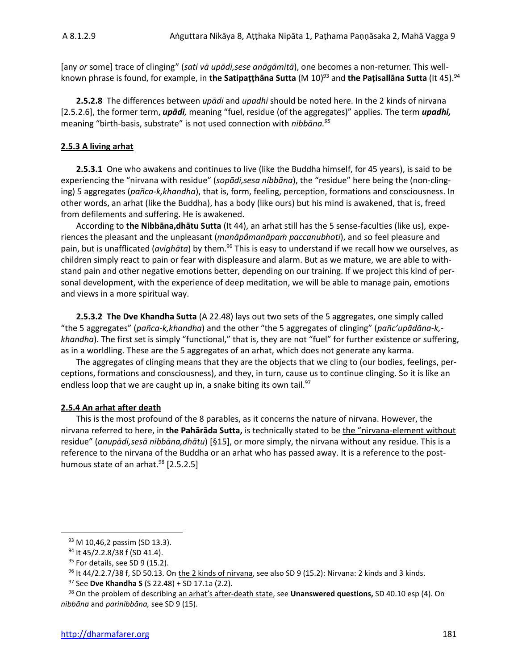[any *or* some] trace of clinging" (*sati vā upādi,sese anāgāmitā*), one becomes a non-returner. This wellknown phrase is found, for example, in **the Satipaṭṭhāna Sutta** (M 10)<sup>93</sup> and **the Paṭisallāna Sutta** (It 45).<sup>94</sup>

**2.5.2.8** The differences between *upādi* and *upadhi* should be noted here. In the 2 kinds of nirvana [2.5.2.6], the former term, *upādi,* meaning "fuel, residue (of the aggregates)" applies. The term *upadhi,* meaning "birth-basis, substrate" is not used connection with *nibbāna.<sup>95</sup>*

#### **2.5.3 A living arhat**

**2.5.3.1** One who awakens and continues to live (like the Buddha himself, for 45 years), is said to be experiencing the "nirvana with residue" (*sopādi,sesa nibbāna*), the "residue" here being the (non-clinging) 5 aggregates (*pañca-k,khandha*), that is, form, feeling, perception, formations and consciousness. In other words, an arhat (like the Buddha), has a body (like ours) but his mind is awakened, that is, freed from defilements and suffering. He is awakened.

According to **the Nibbāna,dhātu Sutta** (It 44), an arhat still has the 5 sense-faculties (like us), experiences the pleasant and the unpleasant (*manāpâmanāpaṁ paccanubhoti*), and so feel pleasure and pain, but is unafflicated (*avighāta*) by them.<sup>96</sup> This is easy to understand if we recall how we ourselves, as children simply react to pain or fear with displeasure and alarm. But as we mature, we are able to withstand pain and other negative emotions better, depending on our training. If we project this kind of personal development, with the experience of deep meditation, we will be able to manage pain, emotions and views in a more spiritual way.

**2.5.3.2 The Dve Khandha Sutta** (A 22.48) lays out two sets of the 5 aggregates, one simply called "the 5 aggregates" (*pañca-k,khandha*) and the other "the 5 aggregates of clinging" (*pañc'upādāna-k, khandha*). The first set is simply "functional," that is, they are not "fuel" for further existence or suffering, as in a worldling. These are the 5 aggregates of an arhat, which does not generate any karma.

The aggregates of clinging means that they are the objects that we cling to (our bodies, feelings, perceptions, formations and consciousness), and they, in turn, cause us to continue clinging. So it is like an endless loop that we are caught up in, a snake biting its own tail. $97$ 

#### **2.5.4 An arhat after death**

This is the most profound of the 8 parables, as it concerns the nature of nirvana. However, the nirvana referred to here, in **the Pahārāda Sutta,** is technically stated to be the "nirvana-element without residue" (*anupādi,sesā nibbāna,dhātu*) [§15], or more simply, the nirvana without any residue. This is a reference to the nirvana of the Buddha or an arhat who has passed away. It is a reference to the posthumous state of an arhat. $98$  [2.5.2.5]

<sup>93</sup> M 10,46,2 passim (SD 13.3).

<sup>94</sup> It 45/2.2.8/38 f (SD 41.4).

<sup>&</sup>lt;sup>95</sup> For details, see SD 9 (15.2).

 $96$  It 44/2.2.7/38 f, SD 50.13. On the 2 kinds of nirvana, see also SD 9 (15.2): Nirvana: 2 kinds and 3 kinds.

<sup>97</sup> See **Dve Khandha S** (S 22.48) + SD 17.1a (2.2).

<sup>98</sup> On the problem of describing an arhat's after-death state, see **Unanswered questions,** SD 40.10 esp (4). On *nibbāna* and *parinibbāna,* see SD 9 (15).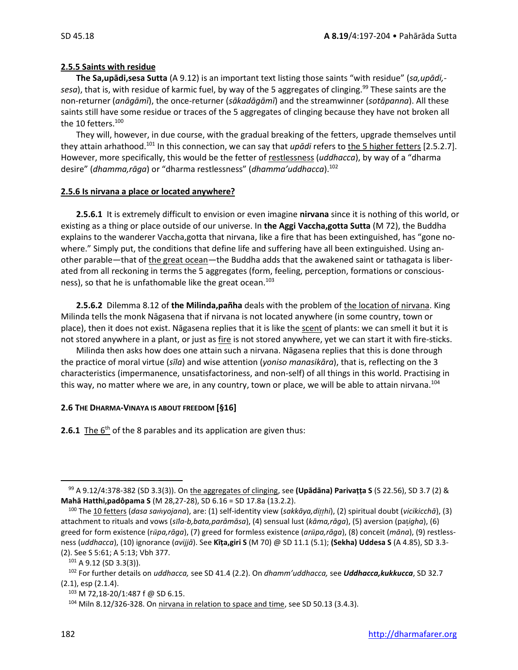#### **2.5.5 Saints with residue**

**The Sa,upādi,sesa Sutta** (A 9.12) is an important text listing those saints "with residue" (*sa,upādi, sesa*), that is, with residue of karmic fuel, by way of the 5 aggregates of clinging.<sup>99</sup> These saints are the non-returner (*anāgāmī*), the once-returner (*sākadāgāmī*) and the streamwinner (*sotāpanna*). All these saints still have some residue or traces of the 5 aggregates of clinging because they have not broken all the 10 fetters.<sup>100</sup>

They will, however, in due course, with the gradual breaking of the fetters, upgrade themselves until they attain arhathood.<sup>101</sup> In this connection, we can say that *upādi* refers to the 5 higher fetters [2.5.2.7]. However, more specifically, this would be the fetter of restlessness (*uddhacca*), by way of a "dharma desire" (*dhamma,rāga*) or "dharma restlessness" (*dhamma'uddhacca*).<sup>102</sup>

#### **2.5.6 Is nirvana a place or located anywhere?**

**2.5.6.1** It is extremely difficult to envision or even imagine **nirvana** since it is nothing of this world, or existing as a thing or place outside of our universe. In **the Aggi Vaccha,gotta Sutta** (M 72), the Buddha explains to the wanderer Vaccha,gotta that nirvana, like a fire that has been extinguished, has "gone nowhere." Simply put, the conditions that define life and suffering have all been extinguished. Using another parable—that of the great ocean—the Buddha adds that the awakened saint or tathagata is liberated from all reckoning in terms the 5 aggregates (form, feeling, perception, formations or consciousness), so that he is unfathomable like the great ocean.<sup>103</sup>

**2.5.6.2** Dilemma 8.12 of **the Milinda,pañha** deals with the problem of the location of nirvana. King Milinda tells the monk Nāgasena that if nirvana is not located anywhere (in some country, town or place), then it does not exist. Nāgasena replies that it is like the scent of plants: we can smell it but it is not stored anywhere in a plant, or just as fire is not stored anywhere, yet we can start it with fire-sticks.

Milinda then asks how does one attain such a nirvana. Nāgasena replies that this is done through the practice of moral virtue (*sīla*) and wise attention (*yoniso manasikāra*), that is, reflecting on the 3 characteristics (impermanence, unsatisfactoriness, and non-self) of all things in this world. Practising in this way, no matter where we are, in any country, town or place, we will be able to attain nirvana.<sup>104</sup>

#### **2.6 THE DHARMA-VINAYA IS ABOUT FREEDOM [§16]**

**2.6.1** The 6<sup>th</sup> of the 8 parables and its application are given thus:

<sup>99</sup> A 9.12/4:378-382 (SD 3.3(3)). On the aggregates of clinging, see **(Upādāna) Parivaṭṭa S** (S 22.56), SD 3.7 (2) & **Mahā Hatthi,padôpama S** (M 28,27-28), SD 6.16 = SD 17.8a (13.2.2).

<sup>100</sup> The 10 fetters (*dasa sayojana*), are: (1) self-identity view (*sakkāya,dihi*), (2) spiritual doubt (*vicikicchā*), (3) attachment to rituals and vows (*sla-b,bata,parāmāsa*), (4) sensual lust (*kāma,rāga*), (5) aversion (pa*igha*), (6) greed for form existence (r*pa,rāga*), (7) greed for formless existence (*arpa,rāga*), (8) conceit (*māna*), (9) restlessness (*uddhacca*), (10) ignorance (*avijjā*). See **Kīṭa,giri S** (M 70) @ SD 11.1 (5.1); **(Sekha) Uddesa S** (A 4.85), SD 3.3- (2). See S 5:61; A 5:13; Vbh 377.

<sup>101</sup> A 9.12 (SD 3.3(3)).

<sup>102</sup> For further details on *uddhacca,* see SD 41.4 (2.2). On *dhamm'uddhacca,* see *Uddhacca,kukkucca*, SD 32.7 (2.1), esp (2.1.4).

<sup>103</sup> M 72,18-20/1:487 f @ SD 6.15.

<sup>&</sup>lt;sup>104</sup> Miln 8.12/326-328. On nirvana in relation to space and time, see SD 50.13 (3.4.3).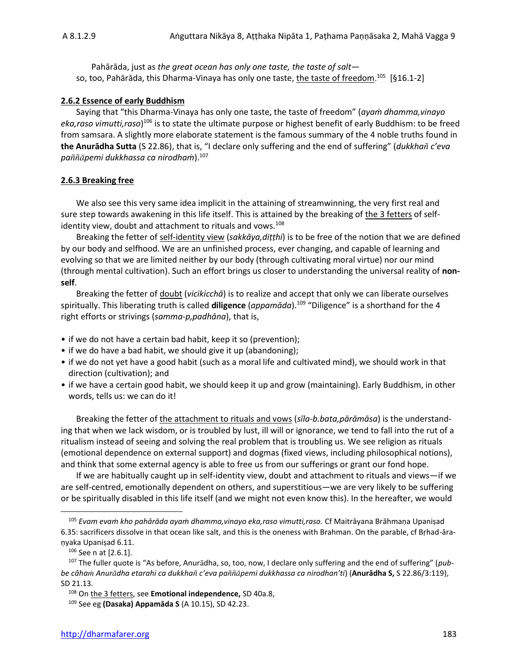Pahārāda, just as *the great ocean has only one taste, the taste of salt* so, too, Pahārāda, this Dharma-Vinaya has only one taste, <u>the taste of freedom.</u><sup>105</sup> [§16.1-2]

#### **2.6.2 Essence of early Buddhism**

Saying that "this Dharma-Vinaya has only one taste, the taste of freedom" (*ayaṁ dhamma,vinayo eka,raso vimutti,raso*) <sup>106</sup> is to state the ultimate purpose or highest benefit of early Buddhism: to be freed from samsara. A slightly more elaborate statement is the famous summary of the 4 noble truths found in **the Anurādha Sutta** (S 22.86), that is, "I declare only suffering and the end of suffering" (*dukkha c'eva papemi dukkhassa ca nirodhaṁ*).<sup>107</sup>

#### **2.6.3 Breaking free**

We also see this very same idea implicit in the attaining of streamwinning, the very first real and sure step towards awakening in this life itself. This is attained by the breaking of the 3 fetters of selfidentity view, doubt and attachment to rituals and vows.<sup>108</sup>

Breaking the fetter of self-identity view (*sakkāya,diṭṭhi*) is to be free of the notion that we are defined by our body and selfhood. We are an unfinished process, ever changing, and capable of learning and evolving so that we are limited neither by our body (through cultivating moral virtue) nor our mind (through mental cultivation). Such an effort brings us closer to understanding the universal reality of **nonself**.

Breaking the fetter of doubt (*vicikicchā*) is to realize and accept that only we can liberate ourselves spiritually. This liberating truth is called **diligence** (*appamāda*). 109 "Diligence" is a shorthand for the 4 right efforts or strivings (*samma-p,padhāna*), that is,

- if we do not have a certain bad habit, keep it so (prevention);
- if we do have a bad habit, we should give it up (abandoning);
- if we do not yet have a good habit (such as a moral life and cultivated mind), we should work in that direction (cultivation); and
- if we have a certain good habit, we should keep it up and grow (maintaining). Early Buddhism, in other words, tells us: we can do it!

Breaking the fetter of the attachment to rituals and vows (*sīla-b.bata,pārāmāsa*) is the understanding that when we lack wisdom, or is troubled by lust, ill will or ignorance, we tend to fall into the rut of a ritualism instead of seeing and solving the real problem that is troubling us. We see religion as rituals (emotional dependence on external support) and dogmas (fixed views, including philosophical notions), and think that some external agency is able to free us from our sufferings or grant our fond hope.

If we are habitually caught up in self-identity view, doubt and attachment to rituals and views—if we are self-centred, emotionally dependent on others, and superstitious—we are very likely to be suffering or be spiritually disabled in this life itself (and we might not even know this). In the hereafter, we would

<sup>105</sup> *Evam evaṁ kho pahārāda ayaṁ dhamma,vinayo eka,raso vimutti,raso.* Cf Maitrāyana Brāhmaṇa Upaniṣad 6.35: sacrificers dissolve in that ocean like salt, and this is the oneness with Brahman. On the parable, cf Bṛhad-āraṇyaka Upaniṣad 6.11.

 $106$  See n at [2.6.1].

<sup>&</sup>lt;sup>107</sup> The fuller quote is "As before, Anurādha, so, too, now, I declare only suffering and the end of suffering" (*pubbe câha Anurdha etarahi ca dukkha c'eva papemi dukkhassa ca nirodhan'ti*) (**Anurādha S,** S 22.86/3:119), SD 21.13.

<sup>108</sup> On the 3 fetters, see **Emotional independence,** SD 40a.8,

<sup>109</sup> See eg **(Dasaka) Appamāda S** (A 10.15), SD 42.23.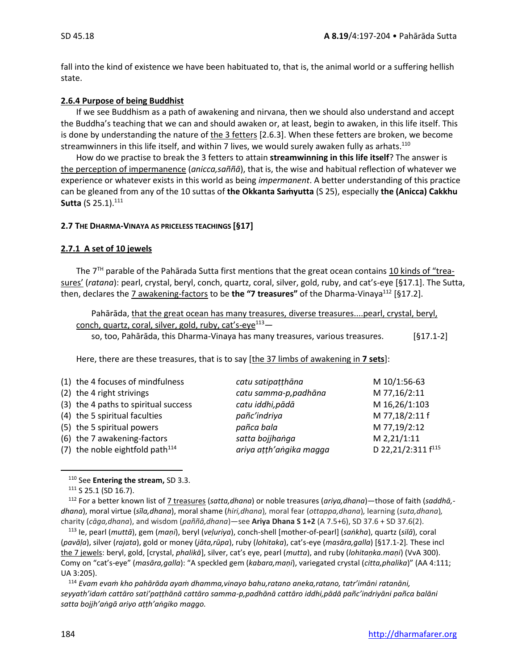fall into the kind of existence we have been habituated to, that is, the animal world or a suffering hellish state.

#### **2.6.4 Purpose of being Buddhist**

If we see Buddhism as a path of awakening and nirvana, then we should also understand and accept the Buddha's teaching that we can and should awaken or, at least, begin to awaken, in this life itself. This is done by understanding the nature of the 3 fetters [2.6.3]. When these fetters are broken, we become streamwinners in this life itself, and within 7 lives, we would surely awaken fully as arhats. $^{110}$ 

How do we practise to break the 3 fetters to attain **streamwinning in this life itself**? The answer is the perception of impermanence (*anicca,saññā*), that is, the wise and habitual reflection of whatever we experience or whatever exists in this world as being *impermanent*. A better understanding of this practice can be gleaned from any of the 10 suttas of **the Okkanta Saṁyutta** (S 25), especially **the (Anicca) Cakkhu Sutta** (S 25.1).<sup>111</sup>

#### **2.7 THE DHARMA-VINAYA AS PRICELESS TEACHINGS [§17]**

#### **2.7.1 A set of 10 jewels**

The 7<sup>TH</sup> parable of the Pahārada Sutta first mentions that the great ocean contains 10 kinds of "treasures' (*ratana*): pearl, crystal, beryl, conch, quartz, coral, silver, gold, ruby, and cat's-eye [§17.1]. The Sutta, then, declares the 7 awakening-factors to be the "7 treasures" of the Dharma-Vinaya<sup>112</sup> [§17.2].

Pahārāda, that the great ocean has many treasures, diverse treasures....pearl, crystal, beryl, conch, quartz, coral, silver, gold, ruby, cat's-eye<sup>113</sup>– so, too, Pahārāda, this Dharma-Vinaya has many treasures, various treasures. [§17.1-2]

Here, there are these treasures, that is to say [the 37 limbs of awakening in **7 sets**]:

| M 16,26/1:103<br>(3) the 4 paths to spiritual success<br>catu iddhi, pādā<br>M 77,18/2:11 f<br>(4) the 5 spiritual faculties<br>pañc'indriya<br>M 77,19/2:12<br>(5) the 5 spiritual powers<br>pañca bala<br>M 2,21/1:11<br>(6) the 7 awakening-factors<br>satta bojjhanga |  |
|---------------------------------------------------------------------------------------------------------------------------------------------------------------------------------------------------------------------------------------------------------------------------|--|
| D 22,21/2:311 f <sup>115</sup><br>(7) the noble eightfold path $114$<br>ariya atth'angika magga                                                                                                                                                                           |  |

<sup>110</sup> See **Entering the stream,** SD 3.3.

111 S 25.1 (SD 16.7).

<sup>112</sup> For a better known list of 7 treasures (*satta,dhana*) or noble treasures (*ariya,dhana*)—those of faith (*saddhā, dhana*), moral virtue (*sīla,dhana*), moral shame (*hiri,dhana*)*,* moral fear (*ottappa,dhana*)*,* learning (*suta,dhana*)*,* charity (*cāga,dhana*), and wisdom (*paññā,dhana*)—see **Ariya Dhana S 1+2** (A 7.5+6), SD 37.6 + SD 37.6(2).

<sup>113</sup> Ie, pearl (*muttā*), gem (*maṇi*), beryl (*veḷuriya*), conch-shell [mother-of-pearl] (*saṅkha*), quartz (*silā*), coral (*pavāḷa*), silver (*rajata*), gold or money (*jāta,rūpa*), ruby (*lohitaka*), cat's-eye (*masāra,galla*) [§17.1-2]*.* These incl the 7 jewels: beryl, gold, [crystal, *phalikā*], silver, cat's eye, pearl (*mutta*), and ruby (*lohitaṇka.maṇi*) (VvA 300). Comy on "cat's-eye" (*masāra,galla*): "A speckled gem (*kabara,maṇi*), variegated crystal (*citta,phalika*)" (AA 4:111; UA 3:205).

<sup>114</sup> *Evam evaṁ kho pahārāda ayaṁ dhamma,vinayo bahu,ratano aneka,ratano, tatr'imāni ratanāni, seyyath'idaṁ cattāro sati'paṭṭhānā cattāro samma-p,padhānā cattāro iddhi,pādā pañc'indriyāni pañca balāni satta bojjh'aṅgā ariyo aṭṭh'aṅgiko maggo.*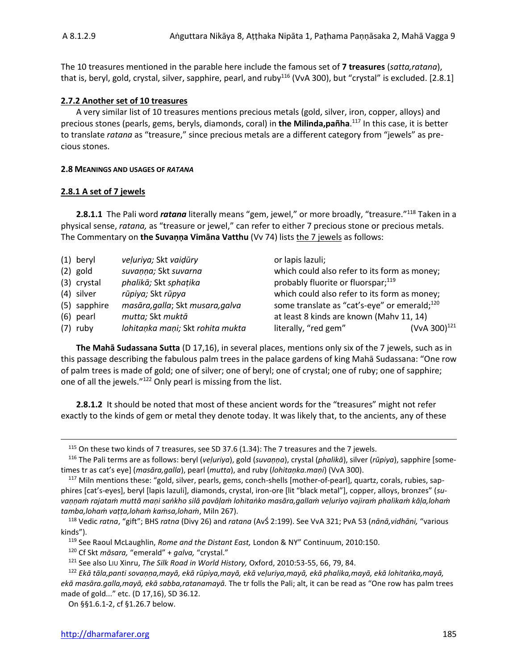The 10 treasures mentioned in the parable here include the famous set of **7 treasures** (*satta,ratana*), that is, beryl, gold, crystal, silver, sapphire, pearl, and ruby<sup>116</sup> (VvA 300), but "crystal" is excluded. [2.8.1]

#### **2.7.2 Another set of 10 treasures**

A very similar list of 10 treasures mentions precious metals (gold, silver, iron, copper, alloys) and precious stones (pearls, gems, beryls, diamonds, coral) in **the Milinda,pañha**. <sup>117</sup> In this case, it is better to translate *ratana* as "treasure," since precious metals are a different category from "jewels" as precious stones.

#### **2.8 MEANINGS AND USAGES OF** *RATANA*

#### **2.8.1 A set of 7 jewels**

**2.8.1.1** The Pali word *ratana* literally means "gem, jewel," or more broadly, "treasure."<sup>118</sup> Taken in a physical sense, *ratana,* as "treasure or jewel," can refer to either 7 precious stone or precious metals. The Commentary on **the Suvaṇṇa Vimāna Vatthu** (Vv 74) lists the 7 jewels as follows:

| $(1)$ beryl  | veļuriya; Skt vaidūry            | or lapis lazuli;                                         |                    |
|--------------|----------------------------------|----------------------------------------------------------|--------------------|
| $(2)$ gold   | suvanna; Skt suvarna             | which could also refer to its form as money;             |                    |
| (3) crystal  | phalikā; Skt sphațika            | probably fluorite or fluorspar; <sup>119</sup>           |                    |
| (4) silver   | rūpiya; Skt rūpya                | which could also refer to its form as money;             |                    |
| (5) sapphire | masāra, galla; Skt musara, galva | some translate as "cat's-eye" or emerald; <sup>120</sup> |                    |
| $(6)$ pearl  | mutta; Skt muktā                 | at least 8 kinds are known (Mahv 11, 14)                 |                    |
| $(7)$ ruby   | lohitaņka maņi; Skt rohita mukta | literally, "red gem"                                     | (VvA 300) $^{121}$ |

**The Mahā Sudassana Sutta** (D 17,16), in several places, mentions only six of the 7 jewels, such as in this passage describing the fabulous palm trees in the palace gardens of king Mahā Sudassana: "One row of palm trees is made of gold; one of silver; one of beryl; one of crystal; one of ruby; one of sapphire; one of all the jewels."<sup>122</sup> Only pearl is missing from the list.

**2.8.1.2** It should be noted that most of these ancient words for the "treasures" might not refer exactly to the kinds of gem or metal they denote today. It was likely that, to the ancients, any of these

<sup>115</sup> On these two kinds of 7 treasures, see SD 37.6 (1.34): The 7 treasures and the 7 jewels.

<sup>116</sup> The Pali terms are as follows: beryl (*veḷuriya*), gold (*suvaṇṇa*), crystal (*phalikā*), silver (*rūpiya*), sapphire [sometimes tr as cat's eye] (*masāra,galla*), pearl (*mutta*), and ruby (*lohitaṇka.maṇi*) (VvA 300).

<sup>&</sup>lt;sup>117</sup> Miln mentions these: "gold, silver, pearls, gems, conch-shells [mother-of-pearl], quartz, corals, rubies, sapphires [cat's-eyes], beryl [lapis lazuli], diamonds, crystal, iron-ore [lit "black metal"], copper, alloys, bronzes" (*suvaṇṇaṁ rajataṁ muttā maṇi saṅkho silā pavāḷaṁ lohitaṅko masāra,gallaṁ veḷuriyo vajiraṁ phalikaṁ kāḷa,lohaṁ tamba,lohaṁ vaṭṭa,lohaṁ kaṁsa,lohaṁ*, Miln 267).

<sup>118</sup> Vedic *ratna*, "gift"; BHS *ratna* (Divy 26) and *ratana* (AvŚ 2:199). See VvA 321; PvA 53 (*nānā,vidhāni,* "various kinds").

<sup>119</sup> See Raoul McLaughlin, *Rome and the Distant East,* London & NY" Continuum, 2010:150.

<sup>120</sup> Cf Skt *māsara,* "emerald" + *galva,* "crystal."

<sup>121</sup> See also LIU Xinru, *The Silk Road in World History,* Oxford, 2010:53-55, 66, 79, 84.

<sup>122</sup> *Ekā tāla,panti sovaṇṇa,mayā, ekā rūpiya,mayā, ekā veḷuriya,mayā, ekā phalika,mayā, ekā lohitaṅka,mayā, ekā masāra.galla,mayā, ekā sabba,ratanamayā.* The tr folls the Pali; alt, it can be read as "One row has palm trees made of gold..." etc. (D 17,16), SD 36.12.

On §§1.6.1-2, cf §1.26.7 below.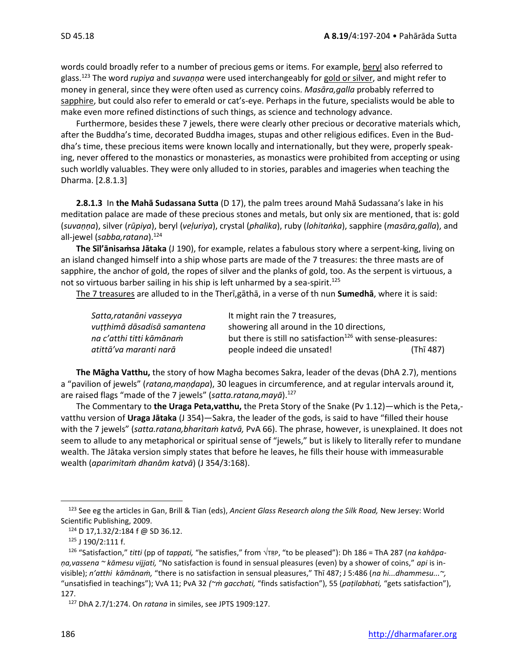words could broadly refer to a number of precious gems or items. For example, beryl also referred to glass.<sup>123</sup> The word *rupiya* and *suvaṇṇa* were used interchangeably for gold or silver, and might refer to money in general, since they were often used as currency coins. *Masāra,galla* probably referred to sapphire, but could also refer to emerald or cat's-eye. Perhaps in the future, specialists would be able to make even more refined distinctions of such things, as science and technology advance.

Furthermore, besides these 7 jewels, there were clearly other precious or decorative materials which, after the Buddha's time, decorated Buddha images, stupas and other religious edifices. Even in the Buddha's time, these precious items were known locally and internationally, but they were, properly speaking, never offered to the monastics or monasteries, as monastics were prohibited from accepting or using such worldly valuables. They were only alluded to in stories, parables and imageries when teaching the Dharma. [2.8.1.3]

**2.8.1.3** In **the Mahā Sudassana Sutta** (D 17), the palm trees around Mahā Sudassana's lake in his meditation palace are made of these precious stones and metals, but only six are mentioned, that is: gold (*suvaṇṇa*), silver (*rūpiya*), beryl (*veḷuriya*), crystal (*phalika*), ruby (*lohitaṅka*), sapphire (*masāra,galla*), and all-jewel (*sabba,ratana*).<sup>124</sup>

**The Sīl'ānisaṁsa Jātaka** (J 190), for example, relates a fabulous story where a serpent-king, living on an island changed himself into a ship whose parts are made of the 7 treasures: the three masts are of sapphire, the anchor of gold, the ropes of silver and the planks of gold, too. As the serpent is virtuous, a not so virtuous barber sailing in his ship is left unharmed by a sea-spirit.<sup>125</sup>

The 7 treasures are alluded to in the Therī,gāthā, in a verse of th nun **Sumedhā**, where it is said:

| Satta, ratanāni vasseyya    | It might rain the 7 treasures,                                          |           |
|-----------------------------|-------------------------------------------------------------------------|-----------|
| vutthimā dāsadisā samantena | showering all around in the 10 directions,                              |           |
| na c'atthi titti kāmānam    | but there is still no satisfaction <sup>126</sup> with sense-pleasures: |           |
| atittā'va maranti narā      | people indeed die unsated!                                              | (Thī 487) |

**The Māgha Vatthu,** the story of how Magha becomes Sakra, leader of the devas (DhA 2.7), mentions a "pavilion of jewels" (*ratana,maṇḍapa*), 30 leagues in circumference, and at regular intervals around it, are raised flags "made of the 7 jewels" (*satta.ratana,mayā*).<sup>127</sup>

The Commentary to **the Uraga Peta,vatthu,** the Preta Story of the Snake (Pv 1.12)—which is the Peta, vatthu version of **Uraga Jātaka** (J 354)—Sakra, the leader of the gods, is said to have "filled their house with the 7 jewels" (*satta.ratana,bharitaṁ katvā,* PvA 66). The phrase, however, is unexplained. It does not seem to allude to any metaphorical or spiritual sense of "jewels," but is likely to literally refer to mundane wealth. The Jātaka version simply states that before he leaves, he fills their house with immeasurable wealth (*aparimitaṁ dhanām katvā*) (J 354/3:168).

<sup>123</sup> See eg the articles in Gan, Brill & Tian (eds), *Ancient Glass Research along the Silk Road,* New Jersey: World Scientific Publishing, 2009.

<sup>124</sup> D 17,1.32/2:184 f @ SD 36.12.

<sup>125</sup> J 190/2:111 f.

<sup>&</sup>lt;sup>126</sup> "Satisfaction," *titti* (pp of *tappati*, "he satisfies," from √TŖP, "to be pleased"): Dh 186 = ThA 287 (*na kahāpaṇa,vassena ~ kāmesu vijjati,* "No satisfaction is found in sensual pleasures (even) by a shower of coins," *api* is invisible); *n'atthi kāmānaṁ,* "there is no satisfaction in sensual pleasures," Thī 487; J 5:486 (*na hi...dhammesu...~,* "unsatisfied in teachings"); VvA 11; PvA 32 *(~ṁ gacchati,* "finds satisfaction"), 55 (*paṭilabhati,* "gets satisfaction"), 127.

<sup>127</sup> DhA 2.7/1:274. On *ratana* in similes, see JPTS 1909:127.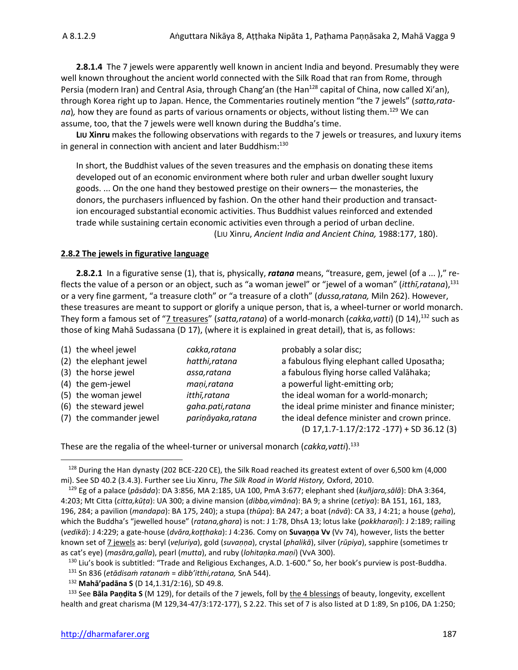**2.8.1.4** The 7 jewels were apparently well known in ancient India and beyond. Presumably they were well known throughout the ancient world connected with the Silk Road that ran from Rome, through Persia (modern Iran) and Central Asia, through Chang'an (the Han<sup>128</sup> capital of China, now called Xi'an), through Korea right up to Japan. Hence, the Commentaries routinely mention "the 7 jewels" (*satta,ratana*), how they are found as parts of various ornaments or objects, without listing them.<sup>129</sup> We can assume, too, that the 7 jewels were well known during the Buddha's time.

**LIU Xinru** makes the following observations with regards to the 7 jewels or treasures, and luxury items in general in connection with ancient and later Buddhism:<sup>130</sup>

In short, the Buddhist values of the seven treasures and the emphasis on donating these items developed out of an economic environment where both ruler and urban dweller sought luxury goods. ... On the one hand they bestowed prestige on their owners— the monasteries, the donors, the purchasers influenced by fashion. On the other hand their production and transaction encouraged substantial economic activities. Thus Buddhist values reinforced and extended trade while sustaining certain economic activities even through a period of urban decline. (LIU Xinru, *Ancient India and Ancient China,* 1988:177, 180).

#### **2.8.2 The jewels in figurative language**

**2.8.2.1** In a figurative sense (1), that is, physically, *ratana* means, "treasure, gem, jewel (of a ... )," reflects the value of a person or an object, such as "a woman jewel" or "jewel of a woman" (*itthī,ratana*),<sup>131</sup> or a very fine garment, "a treasure cloth" or "a treasure of a cloth" (*dussa,ratana,* Miln 262). However, these treasures are meant to support or glorify a unique person, that is, a wheel-turner or world monarch. They form a famous set of "7 treasures" (*satta,ratana*) of a world-monarch (*cakka,vatti*) (D 14), <sup>132</sup> such as those of king Mahā Sudassana (D 17), (where it is explained in great detail), that is, as follows:

| (1) the wheel jewel     | cakka,ratana       | probably a solar disc;                          |
|-------------------------|--------------------|-------------------------------------------------|
| (2) the elephant jewel  | hatthi, ratana     | a fabulous flying elephant called Uposatha;     |
| (3) the horse jewel     | assa,ratana        | a fabulous flying horse called Valāhaka;        |
| (4) the gem-jewel       | mani,ratana        | a powerful light-emitting orb;                  |
| (5) the woman jewel     | itthī, ratana      | the ideal woman for a world-monarch;            |
| (6) the steward jewel   | gaha.pati,ratana   | the ideal prime minister and finance minister;  |
| (7) the commander jewel | pariņāyaka, ratana | the ideal defence minister and crown prince.    |
|                         |                    | $(D 17, 1.7 - 1.17/2:172 - 177) + SD 36.12 (3)$ |

These are the regalia of the wheel-turner or universal monarch (*cakka,vatti*).<sup>133</sup>

<sup>128</sup> During the Han dynasty (202 BCE-220 CE), the Silk Road reached its greatest extent of over 6,500 km (4,000 mi). See SD 40.2 (3.4.3). Further see Liu Xinru, *The Silk Road in World History,* Oxford, 2010.

<sup>129</sup> Eg of a palace (*pāsāda*): DA 3:856, MA 2:185, UA 100, PmA 3:677; elephant shed (*kuñjara,sālā*): DhA 3:364, 4:203; Mt Citta (*citta,kūṭa*): UA 300; a divine mansion (*dibba,vimāna*): BA 9; a shrine (*cetiya*): BA 151, 161, 183, 196, 284; a pavilion (*mandapa*): BA 175, 240); a stupa (*thūpa*): BA 247; a boat (*nāvā*): CA 33, J 4:21; a house (*geha*), which the Buddha's "jewelled house" (*ratana,ghara*) is not: J 1:78, DhsA 13; lotus lake (*pokkharaṇī*): J 2:189; railing (*vedikā*): J 4:229; a gate-house (*dvāra,koṭṭhaka*): J 4:236. Comy on **Suvaṇṇa Vv** (Vv 74), however, lists the better known set of 7 jewels as: beryl (*veḷuriya*), gold (*suvaṇṇa*), crystal (*phalikā*), silver (*rūpiya*), sapphire (sometimes tr as cat's eye) (*masāra,galla*), pearl (*mutta*), and ruby (*lohitaṇka.maṇi*) (VvA 300).

<sup>&</sup>lt;sup>130</sup> Liu's book is subtitled: "Trade and Religious Exchanges, A.D. 1-600." So, her book's purview is post-Buddha.

<sup>131</sup> Sn 836 (*etādisaṁ ratanaṁ* = *dibb'itthi,ratana,* SnA 544).

<sup>132</sup> **Mahā'padāna S** (D 14,1.31/2:16), SD 49.8.

<sup>133</sup> See **Bāla Paṇḍita S** (M 129), for details of the 7 jewels, foll by the 4 blessings of beauty, longevity, excellent health and great charisma (M 129,34-47/3:172-177), S 2.22. This set of 7 is also listed at D 1:89, Sn p106, DA 1:250;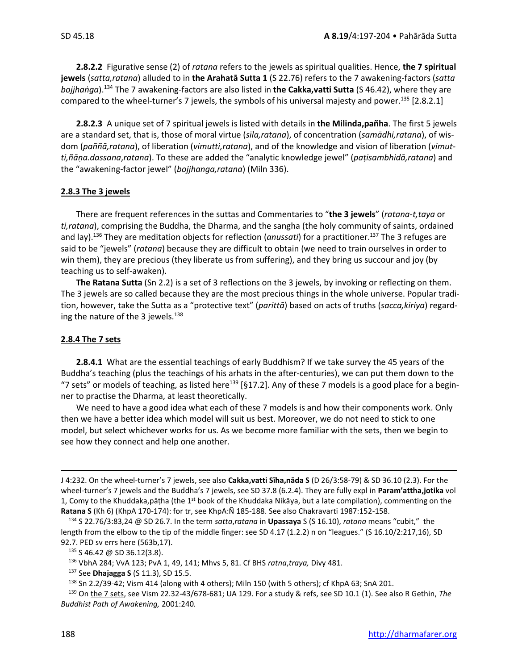**2.8.2.2** Figurative sense (2) of *ratana* refers to the jewels as spiritual qualities. Hence, **the 7 spiritual jewels** (*satta,ratana*) alluded to in **the Arahatā Sutta 1** (S 22.76) refers to the 7 awakening-factors (*satta bojjhaṅga*). <sup>134</sup> The 7 awakening-factors are also listed in **the Cakka,vatti Sutta** (S 46.42), where they are compared to the wheel-turner's 7 jewels, the symbols of his universal majesty and power.<sup>135</sup> [2.8.2.1]

**2.8.2.3** A unique set of 7 spiritual jewels is listed with details in **the Milinda,pañha**. The first 5 jewels are a standard set, that is, those of moral virtue (*sīla,ratana*), of concentration (*samādhi,ratana*), of wisdom (*paññā,ratana*), of liberation (*vimutti,ratana*), and of the knowledge and vision of liberation (*vimutti,ñāṇa.dassana*,*ratana*). To these are added the "analytic knowledge jewel" (*paṭisambhidā,ratana*) and the "awakening-factor jewel" (*bojjhanga,ratana*) (Miln 336).

#### **2.8.3 The 3 jewels**

There are frequent references in the suttas and Commentaries to "**the 3 jewels**" (*ratana*-*t,taya* or *ti,ratana*), comprising the Buddha, the Dharma, and the sangha (the holy community of saints, ordained and lay).<sup>136</sup> They are meditation objects for reflection (*anussati*) for a practitioner. <sup>137</sup> The 3 refuges are said to be "jewels" (*ratana*) because they are difficult to obtain (we need to train ourselves in order to win them), they are precious (they liberate us from suffering), and they bring us succour and joy (by teaching us to self-awaken).

**The Ratana Sutta** (Sn 2.2) is a set of 3 reflections on the 3 jewels, by invoking or reflecting on them. The 3 jewels are so called because they are the most precious things in the whole universe. Popular tradition, however, take the Sutta as a "protective text" (*parittā*) based on acts of truths (*sacca,kiriya*) regarding the nature of the 3 jewels. $138$ 

#### **2.8.4 The 7 sets**

**2.8.4.1** What are the essential teachings of early Buddhism? If we take survey the 45 years of the Buddha's teaching (plus the teachings of his arhats in the after-centuries), we can put them down to the "7 sets" or models of teaching, as listed here<sup>139</sup> [§17.2]. Any of these 7 models is a good place for a beginner to practise the Dharma, at least theoretically.

We need to have a good idea what each of these 7 models is and how their components work. Only then we have a better idea which model will suit us best. Moreover, we do not need to stick to one model, but select whichever works for us. As we become more familiar with the sets, then we begin to see how they connect and help one another.

J 4:232. On the wheel-turner's 7 jewels, see also **Cakka,vatti Sīha,nāda S** (D 26/3:58-79) & SD 36.10 (2.3). For the wheel-turner's 7 jewels and the Buddha's 7 jewels, see SD 37.8 (6.2.4). They are fully expl in **Param'attha,jotika** vol 1, Comy to the Khuddaka,pāṭha (the 1<sup>st</sup> book of the Khuddaka Nikāya, but a late compilation), commenting on the **Ratana S** (Kh 6) (KhpA 170-174): for tr, see KhpA:Ñ 185-188. See also Chakravarti 1987:152-158.

<sup>134</sup> S 22.76/3:83,24 @ SD 26.7. In the term *satta*,*ratana* in **Upassaya** S (S 16.10), *ratana* means "cubit," the length from the elbow to the tip of the middle finger: see SD 4.17 (1.2.2) n on "leagues." (S 16.10/2:217,16), SD 92.7. PED sv errs here (563b,17).

<sup>135</sup> S 46.42 @ SD 36.12(3.8).

<sup>136</sup> VbhA 284; VvA 123; PvA 1, 49, 141; Mhvs 5, 81. Cf BHS *ratna*,*traya,* Divy 481.

<sup>137</sup> See **Dhajagga S** (S 11.3), SD 15.5.

<sup>138</sup> Sn 2.2/39-42; Vism 414 (along with 4 others); Miln 150 (with 5 others); cf KhpA 63; SnA 201.

<sup>139</sup> On the 7 sets, see Vism 22.32-43/678-681; UA 129. For a study & refs, see SD 10.1 (1). See also R Gethin, *The Buddhist Path of Awakening,* 2001:240*.*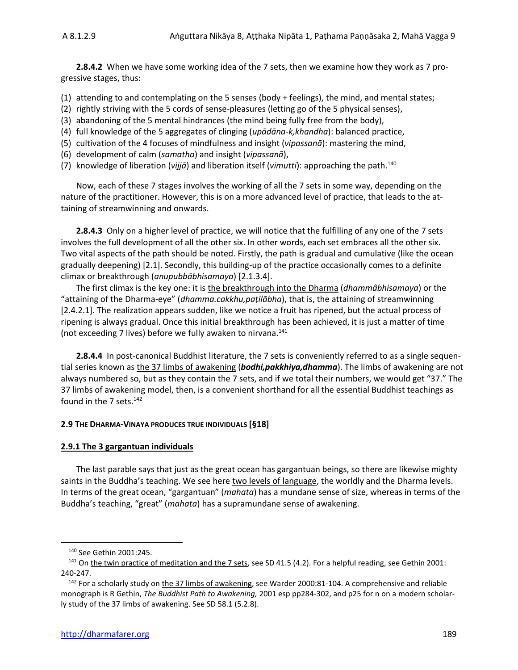**2.8.4.2** When we have some working idea of the 7 sets, then we examine how they work as 7 progressive stages, thus:

(1) attending to and contemplating on the 5 senses (body + feelings), the mind, and mental states;

- (2) rightly striving with the 5 cords of sense-pleasures (letting go of the 5 physical senses),
- (3) abandoning of the 5 mental hindrances (the mind being fully free from the body),
- (4) full knowledge of the 5 aggregates of clinging (*upādāna-k,khandha*): balanced practice,
- (5) cultivation of the 4 focuses of mindfulness and insight (*vipassanā*): mastering the mind,
- (6) development of calm (*samatha*) and insight (*vipassanā*),
- (7) knowledge of liberation (*vijjā*) and liberation itself (*vimutti*): approaching the path. 140

Now, each of these 7 stages involves the working of all the 7 sets in some way, depending on the nature of the practitioner. However, this is on a more advanced level of practice, that leads to the attaining of streamwinning and onwards.

**2.8.4.3** Only on a higher level of practice, we will notice that the fulfilling of any one of the 7 sets involves the full development of all the other six. In other words, each set embraces all the other six. Two vital aspects of the path should be noted. Firstly, the path is gradual and cumulative (like the ocean gradually deepening) [2.1]. Secondly, this building-up of the practice occasionally comes to a definite climax or breakthrough (*anupubbâbhisamaya*) [2.1.3.4].

The first climax is the key one: it is the breakthrough into the Dharma (*dhammâbhisamaya*) or the "attaining of the Dharma-eye" (*dhamma.cakkhu,paṭilābha*), that is, the attaining of streamwinning [2.4.2.1]. The realization appears sudden, like we notice a fruit has ripened, but the actual process of ripening is always gradual. Once this initial breakthrough has been achieved, it is just a matter of time (not exceeding 7 lives) before we fully awaken to nirvana.<sup>141</sup>

**2.8.4.4** In post-canonical Buddhist literature, the 7 sets is conveniently referred to as a single sequential series known as the 37 limbs of awakening (*bodhi,pakkhiya,dhamma*). The limbs of awakening are not always numbered so, but as they contain the 7 sets, and if we total their numbers, we would get "37." The 37 limbs of awakening model, then, is a convenient shorthand for all the essential Buddhist teachings as found in the 7 sets.<sup>142</sup>

#### **2.9 THE DHARMA-VINAYA PRODUCES TRUE INDIVIDUALS [§18]**

#### **2.9.1 The 3 gargantuan individuals**

The last parable says that just as the great ocean has gargantuan beings, so there are likewise mighty saints in the Buddha's teaching. We see here two levels of language, the worldly and the Dharma levels. In terms of the great ocean, "gargantuan" (*mahata*) has a mundane sense of size, whereas in terms of the Buddha's teaching, "great" (*mahata*) has a supramundane sense of awakening.

<sup>140</sup> See Gethin 2001:245.

<sup>141</sup> On the twin practice of meditation and the 7 sets, see SD 41.5 (4.2). For a helpful reading, see Gethin 2001: 240-247.

<sup>&</sup>lt;sup>142</sup> For a scholarly study on the 37 limbs of awakening, see Warder 2000:81-104. A comprehensive and reliable monograph is R Gethin, *The Buddhist Path to Awakening,* 2001 esp pp284-302, and p25 for n on a modern scholarly study of the 37 limbs of awakening. See SD 58.1 (5.2.8).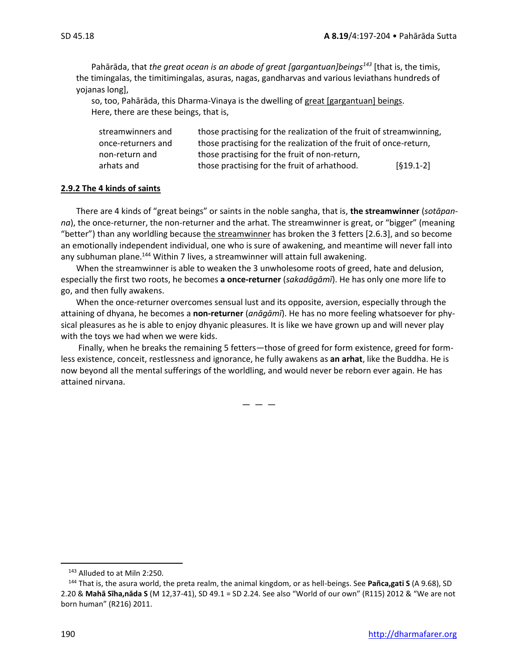Pahārāda, that *the great ocean is an abode of great [gargantuan]beings<sup>143</sup>* [that is, the timis, the timingalas, the timitimingalas, asuras, nagas, gandharvas and various leviathans hundreds of yojanas long],

so, too, Pahārāda, this Dharma-Vinaya is the dwelling of great [gargantuan] beings. Here, there are these beings, that is,

| streamwinners and  | those practising for the realization of the fruit of streamwinning, |             |
|--------------------|---------------------------------------------------------------------|-------------|
| once-returners and | those practising for the realization of the fruit of once-return,   |             |
| non-return and     | those practising for the fruit of non-return,                       |             |
| arhats and         | those practising for the fruit of arhathood.                        | $[619.1-2]$ |

#### **2.9.2 The 4 kinds of saints**

There are 4 kinds of "great beings" or saints in the noble sangha, that is, **the streamwinner** (*sotāpanna*), the once-returner, the non-returner and the arhat. The streamwinner is great, or "bigger" (meaning "better") than any worldling because the streamwinner has broken the 3 fetters [2.6.3], and so become an emotionally independent individual, one who is sure of awakening, and meantime will never fall into any subhuman plane.<sup>144</sup> Within 7 lives, a streamwinner will attain full awakening.

When the streamwinner is able to weaken the 3 unwholesome roots of greed, hate and delusion, especially the first two roots, he becomes **a once-returner** (*sakadāgāmī*). He has only one more life to go, and then fully awakens.

When the once-returner overcomes sensual lust and its opposite, aversion, especially through the attaining of dhyana, he becomes a **non-returner** (*anāgāmī*). He has no more feeling whatsoever for physical pleasures as he is able to enjoy dhyanic pleasures. It is like we have grown up and will never play with the toys we had when we were kids.

Finally, when he breaks the remaining 5 fetters—those of greed for form existence, greed for formless existence, conceit, restlessness and ignorance, he fully awakens as **an arhat**, like the Buddha. He is now beyond all the mental sufferings of the worldling, and would never be reborn ever again. He has attained nirvana.

 $-$ 

<sup>143</sup> Alluded to at Miln 2:250.

<sup>144</sup> That is, the asura world, the preta realm, the animal kingdom, or as hell-beings. See **Pañca,gati S** (A 9.68), SD 2.20 & **Mahā Sīha,nāda S** (M 12,37-41), SD 49.1 = SD 2.24. See also "World of our own" (R115) 2012 & "We are not born human" (R216) 2011.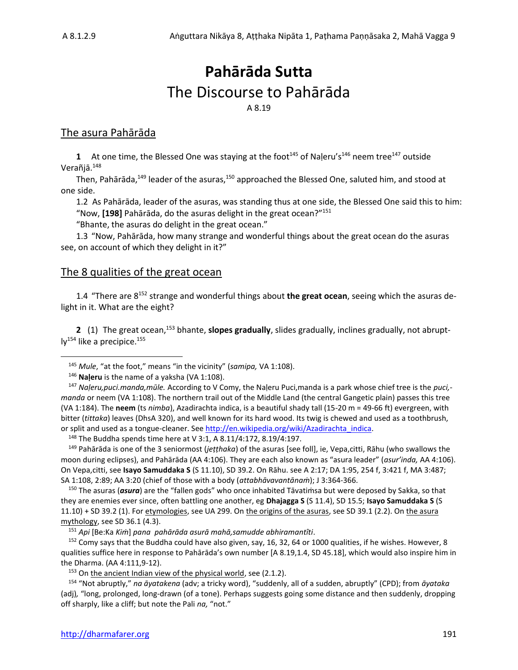# **Pahārāda Sutta** The Discourse to Pahārāda A 8.19

### The asura Pahārāda

**1** At one time, the Blessed One was staying at the foot<sup>145</sup> of Naleru's<sup>146</sup> neem tree<sup>147</sup> outside Verañjā.<sup>148</sup>

Then, Pahārāda,<sup>149</sup> leader of the asuras,<sup>150</sup> approached the Blessed One, saluted him, and stood at one side.

1.2 As Pahārāda, leader of the asuras, was standing thus at one side, the Blessed One said this to him: "Now, **[198]** Pahārāda, do the asuras delight in the great ocean?"<sup>151</sup>

"Bhante, the asuras do delight in the great ocean."

1.3 "Now, Pahārāda, how many strange and wonderful things about the great ocean do the asuras see, on account of which they delight in it?"

#### The 8 qualities of the great ocean

1.4 "There are 8 <sup>152</sup> strange and wonderful things about **the great ocean**, seeing which the asuras delight in it. What are the eight?

**2** (1) The great ocean,<sup>153</sup> bhante, **slopes gradually**, slides gradually, inclines gradually, not abrupt- $\mathsf{IV}^{154}$  like a precipice.<sup>155</sup>

<sup>146</sup> **Naḷeru** is the name of a yaksha (VA 1:108).

<sup>148</sup> The Buddha spends time here at V 3:1, A 8.11/4:172, 8.19/4:197.

<sup>149</sup> Pahārāda is one of the 3 seniormost (*jeṭṭhaka*) of the asuras [see foll], ie, Vepa,citti, Rāhu (who swallows the moon during eclipses), and Pahārāda (AA 4:106). They are each also known as "asura leader" (*asur'inda,* AA 4:106). On Vepa,citti, see **Isayo Samuddaka S** (S 11.10), SD 39.2. On Rāhu. see A 2:17; DA 1:95, 254 f, 3:421 f, MA 3:487; SA 1:108, 2:89; AA 3:20 (chief of those with a body (*attabhāvavantānaṁ*); J 3:364-366.

<sup>150</sup> The asuras (*asura*) are the "fallen gods" who once inhabited Tāvatiṁsa but were deposed by Sakka, so that they are enemies ever since, often battling one another, eg **Dhajagga S** (S 11.4), SD 15.5; **Isayo Samuddaka S** (S 11.10) + SD 39.2 (1). For etymologies, see UA 299. On the origins of the asuras, see SD 39.1 (2.2). On the asura mythology, see SD 36.1 (4.3).

<sup>152</sup> Comy says that the Buddha could have also given, say, 16, 32, 64 or 1000 qualities, if he wishes. However, 8 qualities suffice here in response to Pahārāda's own number [A 8.19,1.4, SD 45.18], which would also inspire him in the Dharma. (AA 4:111,9-12).

 $153$  On the ancient Indian view of the physical world, see (2.1.2).

<sup>154</sup> "Not abruptly," *na āyatakena* (adv; a tricky word), "suddenly, all of a sudden, abruptly" (CPD); from *āyataka* (adj)*,* "long, prolonged, long-drawn (of a tone). Perhaps suggests going some distance and then suddenly, dropping off sharply, like a cliff; but note the Pali *na,* "not."

<sup>145</sup> *Mule*, "at the foot," means "in the vicinity" (*samipa,* VA 1:108).

<sup>147</sup> *Naḷeru,puci.manda,mūle.* According to V Comy, the Naḷeru Puci,manda is a park whose chief tree is the *puci, manda* or neem (VA 1:108). The northern trail out of the Middle Land (the central Gangetic plain) passes this tree (VA 1:184). The **neem** (ts *nimba*), Azadirachta indica, is a beautiful shady tall (15-20 m = 49-66 ft) evergreen, with bitter (*tittaka*) leaves (DhsA 320), and well known for its hard wood. Its twig is chewed and used as a toothbrush, or split and used as a tongue-cleaner. See http://en.wikipedia.org/wiki/Azadirachta\_indica.

<sup>151</sup> *Api* [Be:Ka *Kiṁ*] *pana pahārāda asurā mahā,samudde abhiramantîti*.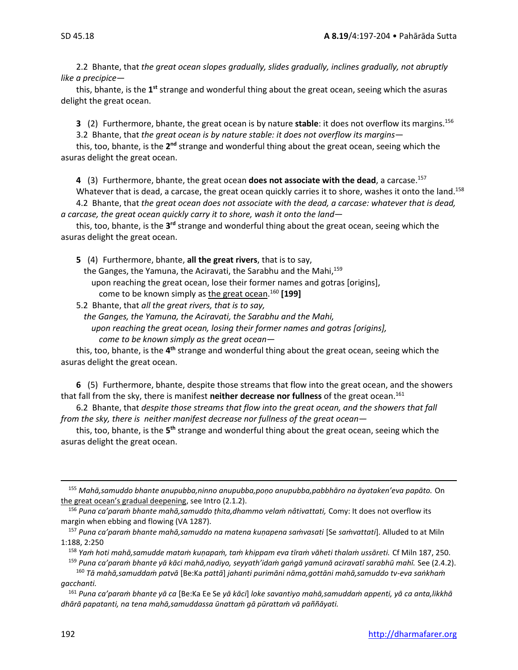2.2 Bhante, that *the great ocean slopes gradually, slides gradually, inclines gradually, not abruptly like a precipice*—

this, bhante, is the 1<sup>st</sup> strange and wonderful thing about the great ocean, seeing which the asuras delight the great ocean.

**3** (2) Furthermore, bhante, the great ocean is by nature **stable**: it does not overflow its margins.<sup>156</sup> 3.2 Bhante, that *the great ocean is by nature stable: it does not overflow its margins*—

this, too, bhante, is the 2<sup>nd</sup> strange and wonderful thing about the great ocean, seeing which the asuras delight the great ocean.

**4** (3) Furthermore, bhante, the great ocean **does not associate with the dead**, a carcase.<sup>157</sup>

Whatever that is dead, a carcase, the great ocean quickly carries it to shore, washes it onto the land.<sup>158</sup> 4.2 Bhante, that *the great ocean does not associate with the dead, a carcase: whatever that is dead, a carcase, the great ocean quickly carry it to shore, wash it onto the land*—

this, too, bhante, is the 3<sup>rd</sup> strange and wonderful thing about the great ocean, seeing which the asuras delight the great ocean.

**5** (4) Furthermore, bhante, **all the great rivers**, that is to say,

the Ganges, the Yamuna, the Aciravati, the Sarabhu and the Mahi,<sup>159</sup> upon reaching the great ocean, lose their former names and gotras [origins], come to be known simply as the great ocean. <sup>160</sup> **[199]**

5.2 Bhante, that *all the great rivers, that is to say,*

*the Ganges, the Yamuna, the Aciravati, the Sarabhu and the Mahi, upon reaching the great ocean, losing their former names and gotras [origins], come to be known simply as the great ocean*—

this, too, bhante, is the 4<sup>th</sup> strange and wonderful thing about the great ocean, seeing which the asuras delight the great ocean.

**6** (5) Furthermore, bhante, despite those streams that flow into the great ocean, and the showers that fall from the sky, there is manifest **neither decrease nor fullness** of the great ocean.<sup>161</sup>

6.2 Bhante, that *despite those streams that flow into the great ocean, and the showers that fall from the sky, there is neither manifest decrease nor fullness of the great ocean—*

this, too, bhante, is the 5<sup>th</sup> strange and wonderful thing about the great ocean, seeing which the asuras delight the great ocean.

<sup>155</sup> *Mahā,samuddo bhante anupubba,ninno anupubba,poṇo anupubba,pabbhāro na āyataken'eva papāto.* On the great ocean's gradual deepening, see Intro (2.1.2).

<sup>156</sup> *Puna ca'paraṁ bhante mahā,samuddo ṭhita,dhammo velaṁ nâtivattati,* Comy: It does not overflow its margin when ebbing and flowing (VA 1287).

<sup>157</sup> *Puna ca'paraṁ bhante mahā,samuddo na matena kuṇapena saṁvasati* [Se *saṁvattati*]. Alluded to at Miln 1:188, 2:250

<sup>158</sup> *Yaṁ hoti mahā,samudde mataṁ kuṇapaṁ, taṁ khippam eva tīraṁ vāheti thalaṁ ussāreti.* Cf Miln 187, 250. <sup>159</sup> *Puna ca'paraṁ bhante yā kāci mahā,nadiyo, seyyath'idaṁ gaṅgā yamunā aciravatī sarabhū mahī.* See (2.4.2).

<sup>160</sup> *Tā mahā,samuddaṁ patvā* [Be:Ka *pattā*] *jahanti purimāni nāma,gottāni mahā,samuddo tv-eva saṅkhaṁ gacchanti.* 

<sup>161</sup> *Puna ca'paraṁ bhante yā ca* [Be:Ka Ee Se *yā kāci*] *loke savantiyo mahā,samuddaṁ appenti, yā ca anta,likkhā dhārā papatanti, na tena mahā,samuddassa ūnattaṁ gā pūrattaṁ vā paññāyati.*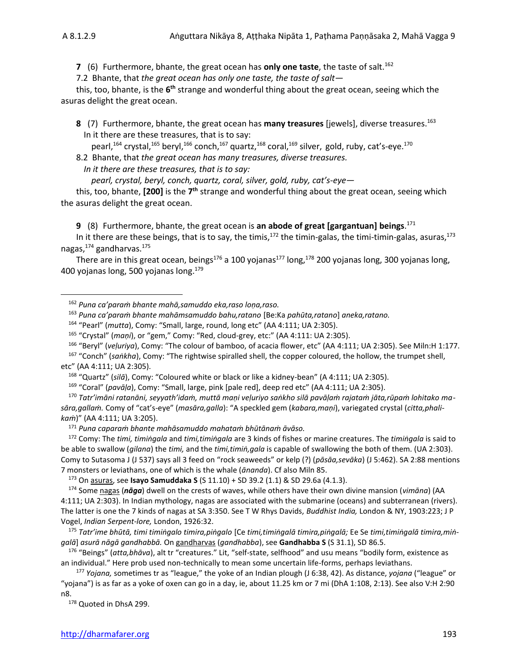**7** (6) Furthermore, bhante, the great ocean has only one taste, the taste of salt.<sup>162</sup>

7.2 Bhante, that *the great ocean has only one taste, the taste of salt—*

this, too, bhante, is the 6<sup>th</sup> strange and wonderful thing about the great ocean, seeing which the asuras delight the great ocean.

**8** (7) Furthermore, bhante, the great ocean has **many treasures** [jewels], diverse treasures. 163 In it there are these treasures, that is to say:

pearl,<sup>164</sup> crystal,<sup>165</sup> beryl,<sup>166</sup> conch,<sup>167</sup> quartz,<sup>168</sup> coral,<sup>169</sup> silver, gold, ruby, cat's-eye.<sup>170</sup>

8.2 Bhante, that *the great ocean has many treasures, diverse treasures.* 

*In it there are these treasures, that is to say:* 

*pearl, crystal, beryl, conch, quartz, coral, silver, gold, ruby, cat's-eye—*

this, too, bhante, [200] is the 7<sup>th</sup> strange and wonderful thing about the great ocean, seeing which the asuras delight the great ocean.

**9** (8) Furthermore, bhante, the great ocean is **an abode of great [gargantuan] beings**. 171

In it there are these beings, that is to say, the timis,<sup>172</sup> the timin-galas, the timi-timin-galas, asuras,<sup>173</sup> nagas,<sup>174</sup> gandharvas.<sup>175</sup>

There are in this great ocean, beings<sup>176</sup> a 100 yojanas<sup>177</sup> long, <sup>178</sup> 200 yojanas long, 300 yojanas long, 400 yojanas long, 500 yojanas long. 179

<sup>163</sup> *Puna ca'paraṁ bhante mahāmsamuddo bahu,ratano* [Be:Ka *pahūta,ratano*] *aneka,ratano.*

<sup>166</sup> "Beryl" (*veḷuriya*), Comy: "The colour of bamboo, of acacia flower, etc" (AA 4:111; UA 2:305). See Miln:H 1:177.

<sup>167</sup> "Conch" (*saṅkha*), Comy: "The rightwise spiralled shell, the copper coloured, the hollow, the trumpet shell, etc" (AA 4:111; UA 2:305).

<sup>168</sup> "Quartz" (*silā*), Comy: "Coloured white or black or like a kidney-bean" (A 4:111; UA 2:305).

<sup>169</sup> "Coral" (*pavāḷa*), Comy: "Small, large, pink [pale red], deep red etc" (AA 4:111; UA 2:305).

<sup>170</sup> *Tatr'imāni ratanāni, seyyath'idaṁ, muttā maṇi veḷuriyo saṅkho silā pavāḷaṁ rajataṁ jāta,rūpaṁ lohitako masāra,gallaṁ.* Comy of "cat's-eye" (*masāra,galla*): "A speckled gem (*kabara,maṇi*), variegated crystal (*citta,phalikaṁ*)" (AA 4:111; UA 3:205).

<sup>171</sup> *Puna caparaṁ bhante mahāsamuddo mahataṁ bhūtānaṁ āvāso.*

<sup>172</sup> Comy: The *timi, timiṅgala* and *timi,timiṅgala* are 3 kinds of fishes or marine creatures. The *timiṅgala* is said to be able to swallow (*gilana*) the *timi,* and the *timi,timiṅ,gala* is capable of swallowing the both of them. (UA 2:303). Comy to Sutasoma J (J 537) says all 3 feed on "rock seaweeds" or kelp (?) (*pāsāa,sevāka*) (J 5:462). SA 2:88 mentions 7 monsters or leviathans, one of which is the whale (*ānanda*). Cf also Miln 85.

<sup>173</sup> On asuras, see **Isayo Samuddaka S** (S 11.10) + SD 39.2 (1.1) & SD 29.6a (4.1.3).

<sup>174</sup> Some nagas (*nāga*) dwell on the crests of waves, while others have their own divine mansion (*vimāna*) (AA 4:111; UA 2:303). In Indian mythology, nagas are associated with the submarine (oceans) and subterranean (rivers). The latter is one the 7 kinds of nagas at SA 3:350. See T W Rhys Davids, *Buddhist India,* London & NY, 1903:223; J P Vogel, *Indian Serpent-lore,* London, 1926:32.

<sup>175</sup> *Tatr'ime bhūtā, timi timiṅgalo timira,piṅgalo* [Ce *timi,timiṅgalā timira,piṅgalā;* Ee Se *timi,timiṅgalā timira,miṅgalā*] *asurā nāgā gandhabbā.* On gandharvas (*gandhabba*), see **Gandhabba S** (S 31.1), SD 86.5.

<sup>176</sup> "Beings" (*atta,bhāva*), alt tr "creatures." Lit, "self-state, selfhood" and usu means "bodily form, existence as an individual." Here prob used non-technically to mean some uncertain life-forms, perhaps leviathans.

<sup>177</sup> *Yojana,* sometimes tr as "league," the yoke of an Indian plough (J 6:38, 42). As distance, *yojana* ("league" or "yojana") is as far as a yoke of oxen can go in a day, ie, about 11.25 km or 7 mi (DhA 1:108, 2:13). See also V:H 2:90 n8.

178 Quoted in DhsA 299.

<sup>162</sup> *Puna ca'paraṁ bhante mahā,samuddo eka,raso loṇa,raso.*

<sup>164</sup> "Pearl" (*mutta*), Comy: "Small, large, round, long etc" (AA 4:111; UA 2:305).

<sup>165</sup> "Crystal" (*maṇi*), or "gem," Comy: "Red, cloud-grey, etc:" (AA 4:111: UA 2:305).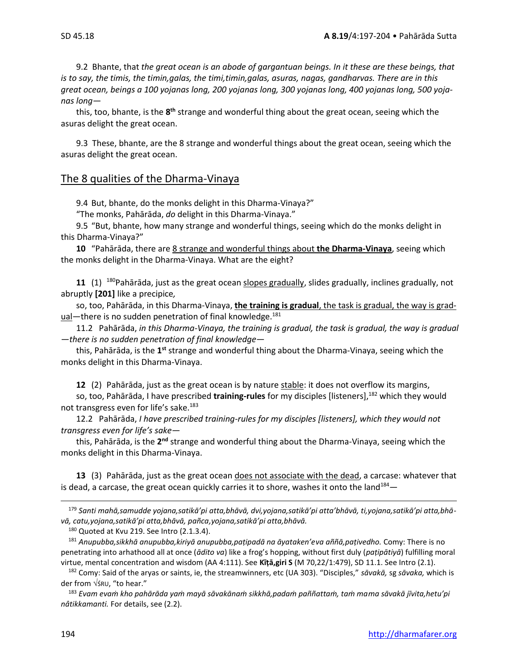9.2 Bhante, that *the great ocean is an abode of gargantuan beings. In it these are these beings, that is to say, the timis, the timin,galas, the timi,timin,galas, asuras, nagas, gandharvas. There are in this great ocean, beings a 100 yojanas long, 200 yojanas long, 300 yojanas long, 400 yojanas long, 500 yojanas long—*

this, too, bhante, is the 8<sup>th</sup> strange and wonderful thing about the great ocean, seeing which the asuras delight the great ocean.

9.3 These, bhante, are the 8 strange and wonderful things about the great ocean, seeing which the asuras delight the great ocean.

#### The 8 qualities of the Dharma-Vinaya

9.4 But, bhante, do the monks delight in this Dharma-Vinaya?"

"The monks, Pahārāda, *do* delight in this Dharma-Vinaya."

9.5 "But, bhante, how many strange and wonderful things, seeing which do the monks delight in this Dharma-Vinaya?"

**10** "Pahārāda, there are 8 strange and wonderful things about **the Dharma-Vinaya**, seeing which the monks delight in the Dharma-Vinaya. What are the eight?

**11** (1) <sup>180</sup>Pahārāda, just as the great ocean slopes gradually, slides gradually, inclines gradually, not abruptly **[201]** like a precipice*,*

so, too, Pahārāda, in this Dharma-Vinaya, **the training is gradual**, the task is gradual, the way is gradual—there is no sudden penetration of final knowledge.<sup>181</sup>

11.2 Pahārāda, *in this Dharma-Vinaya, the training is gradual, the task is gradual, the way is gradual —there is no sudden penetration of final knowledge*—

this, Pahārāda, is the 1<sup>st</sup> strange and wonderful thing about the Dharma-Vinaya, seeing which the monks delight in this Dharma-Vinaya.

**12** (2) Pahārāda, just as the great ocean is by nature stable: it does not overflow its margins,

so, too, Pahārāda, I have prescribed **training-rules** for my disciples [listeners],<sup>182</sup> which they would not transgress even for life's sake.<sup>183</sup>

12.2 Pahārāda, *I have prescribed training-rules for my disciples [listeners], which they would not transgress even for life's sake—*

this, Pahārāda, is the 2<sup>nd</sup> strange and wonderful thing about the Dharma-Vinaya, seeing which the monks delight in this Dharma-Vinaya.

**13** (3) Pahārāda, just as the great ocean does not associate with the dead, a carcase: whatever that is dead, a carcase, the great ocean quickly carries it to shore, washes it onto the land<sup>184</sup>

<sup>179</sup> *Santi mahā,samudde yojana,satikā'pi atta,bhāvā, dvi,yojana,satikā'pi atta'bhāvā, ti,yojana,satikā'pi atta,bhāvā, catu,yojana,satikā'pi atta,bhāvā, pañca,yojana,satikā'pi atta,bhāvā.* 

180 Quoted at Kvu 219. See Intro (2.1.3.4).

<sup>181</sup> *Anupubba,sikkhā anupubba,kiriyā anupubba,paṭipadā na āyataken'eva aññā,paṭivedho.* Comy: There is no penetrating into arhathood all at once (*ādito va*) like a frog's hopping, without first duly (*paṭipātiyā*) fulfilling moral virtue, mental concentration and wisdom (AA 4:111). See **Kīṭā,giri S** (M 70,22/1:479), SD 11.1. See Intro (2.1).

<sup>182</sup> Comy: Said of the aryas or saints, ie, the streamwinners, etc (UA 303). "Disciples," *sāvakā,* sg *sāvaka,* which is der from ŚRU, "to hear."

<sup>183</sup> *Evam evaṁ kho pahārāda yaṁ mayā sāvakānaṁ sikkhā,padaṁ paññattaṁ, taṁ mama sāvakā jīvita,hetu'pi nâtikkamanti.* For details, see (2.2).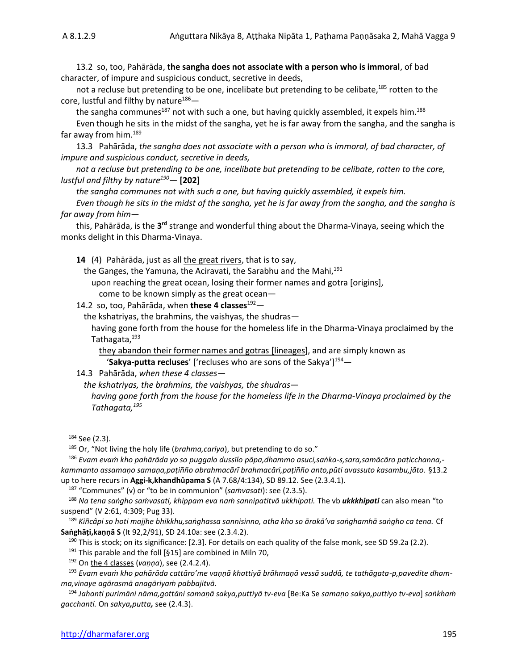13.2 so, too, Pahārāda, **the sangha does not associate with a person who is immoral**, of bad character, of impure and suspicious conduct, secretive in deeds,

not a recluse but pretending to be one, incelibate but pretending to be celibate,<sup>185</sup> rotten to the core, lustful and filthy by nature $186-$ 

the sangha communes<sup>187</sup> not with such a one, but having quickly assembled, it expels him.<sup>188</sup>

Even though he sits in the midst of the sangha, yet he is far away from the sangha, and the sangha is far away from him.<sup>189</sup>

13.3 Pahārāda, *the sangha does not associate with a person who is immoral, of bad character, of impure and suspicious conduct, secretive in deeds,* 

*not a recluse but pretending to be one, incelibate but pretending to be celibate, rotten to the core, lustful and filthy by nature<sup>190</sup>—* **[202]**

*the sangha communes not with such a one, but having quickly assembled, it expels him.* 

*Even though he sits in the midst of the sangha, yet he is far away from the sangha, and the sangha is far away from him*—

this, Pahārāda, is the 3<sup>rd</sup> strange and wonderful thing about the Dharma-Vinaya, seeing which the monks delight in this Dharma-Vinaya.

**14** (4) Pahārāda, just as all the great rivers, that is to say,

the Ganges, the Yamuna, the Aciravati, the Sarabhu and the Mahi,<sup>191</sup>

upon reaching the great ocean, losing their former names and gotra [origins],

come to be known simply as the great ocean—

14.2 so, too, Pahārāda, when **these 4 classes**<sup>192</sup>—

the kshatriyas, the brahmins, the vaishyas, the shudras—

having gone forth from the house for the homeless life in the Dharma-Vinaya proclaimed by the Tathagata,<sup>193</sup>

they abandon their former names and gotras [lineages], and are simply known as 'Sakya-putta recluses' ['recluses who are sons of the Sakya']<sup>194</sup>—

#### 14.3 Pahārāda, *when these 4 classes—*

*the kshatriyas, the brahmins, the vaishyas, the shudras—*

*having gone forth from the house for the homeless life in the Dharma-Vinaya proclaimed by the Tathagata,<sup>195</sup>*

<sup>186</sup> *Evam evaṁ kho pahārāda yo so puggalo dussīlo pāpa,dhammo asuci,saṅka-s,sara,samācāro paṭicchanna, kammanto assamaṇo samaṇa,paṭiñño abrahmacārī brahmacāri,paṭiñño anto,pūti avassuto kasambu,jāto.* §13.2 up to here recurs in **Aggi-k,khandhûpama S** (A 7.68/4:134), SD 89.12. See (2.3.4.1).

<sup>187</sup> "Communes" (v) or "to be in communion" (*saṁvasati*): see (2.3.5).

<sup>188</sup> *Na tena saṅgho saṁvasati, khippam eva naṁ sannipatitvā ukkhipati.* The vb *ukkkhipati* can also mean "to suspend" (V 2:61, 4:309; Pug 33).

<sup>189</sup> *Kiñcâpi so hoti majjhe bhikkhu,saṅghassa sannisinno, atha kho so ārakā'va saṅghamhā saṅgho ca tena.* Cf **Saṅghāṭi,kaṇṇā S** (It 92,2/91), SD 24.10a: see (2.3.4.2).

<sup>190</sup> This is stock; on its significance: [2.3]. For details on each quality of the false monk, see SD 59.2a (2.2).

 $191$  This parable and the foll [§15] are combined in Miln 70,

<sup>192</sup> On the 4 classes (*vaṇṇa*), see (2.4.2.4).

<sup>193</sup> *Evam evaṁ kho pahārāda cattāro'me vaṇṇā khattiyā brāhmaṇā vessā suddā, te tathāgata-p,pavedite dhamma,vinaye agārasmā anagāriyaṁ pabbajitvā.*

<sup>194</sup> *Jahanti purimāni nāma,gottāni samaṇā sakya,puttiyā tv-eva* [Be:Ka Se *samaṇo sakya,puttiyo tv-eva*] *saṅkhaṁ gacchanti.* On *sakya,putta,* see (2.4.3).

<sup>184</sup> See (2.3).

<sup>185</sup> Or, "Not living the holy life (*brahma,cariya*), but pretending to do so."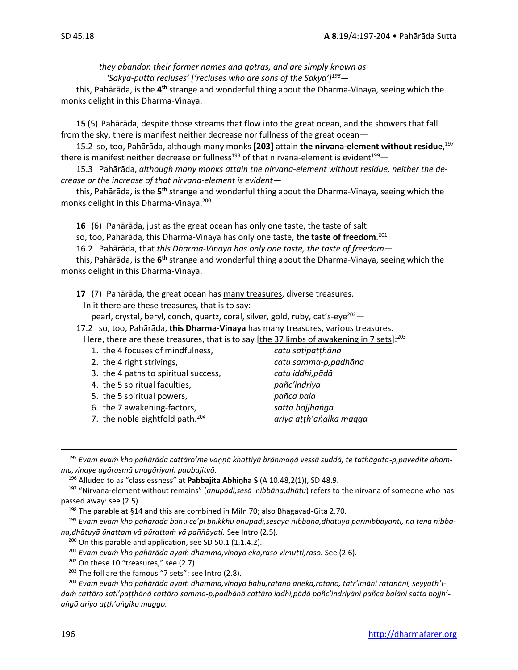*they abandon their former names and gotras, and are simply known as 'Sakya-putta recluses' ['recluses who are sons of the Sakya'] <sup>196</sup>—*

this, Pahārāda, is the 4<sup>th</sup> strange and wonderful thing about the Dharma-Vinaya, seeing which the monks delight in this Dharma-Vinaya.

**15** (5) Pahārāda, despite those streams that flow into the great ocean, and the showers that fall from the sky, there is manifest neither decrease nor fullness of the great ocean*—*

15.2 so, too, Pahārāda, although many monks **[203]** attain **the nirvana-element without residue**, 197 there is manifest neither decrease or fullness<sup>198</sup> of that nirvana-element is evident<sup>199</sup>

15.3 Pahārāda, *although many monks attain the nirvana-element without residue, neither the decrease or the increase of that nirvana-element is evident—*

this, Pahārāda, is the 5<sup>th</sup> strange and wonderful thing about the Dharma-Vinaya, seeing which the monks delight in this Dharma-Vinaya.<sup>200</sup>

**16** (6) Pahārāda, just as the great ocean has only one taste, the taste of salt—

so, too, Pahārāda, this Dharma-Vinaya has only one taste, **the taste of freedom**. 201

16.2 Pahārāda, that *this Dharma-Vinaya has only one taste, the taste of freedom—*

this, Pahārāda, is the 6<sup>th</sup> strange and wonderful thing about the Dharma-Vinaya, seeing which the monks delight in this Dharma-Vinaya.

**17** (7) Pahārāda, the great ocean has many treasures, diverse treasures.

In it there are these treasures, that is to say:

pearl, crystal, beryl, conch, quartz, coral, silver, gold, ruby, cat's-eye<sup>202</sup> -

17.2 so, too, Pahārāda, **this Dharma-Vinaya** has many treasures, various treasures. Here, there are these treasures, that is to say [the 37 limbs of awakening in 7 sets]:<sup>203</sup>

- 1. the 4 focuses of mindfulness, *catu satipaṭṭhāna*
- 
- 3. the 4 paths to spiritual success, *catu iddhi,pādā*

4. the 5 spiritual faculties, *pañc'indriya*

- 5. the 5 spiritual powers, *pañca bala*
- 6. the 7 awakening-factors, *satta bojjhaṅga*
- 7. the noble eightfold path.<sup>204</sup> *ariya aṭṭh'aṅgika magga*

2. the 4 right strivings, *catu samma-p,padhāna*

<sup>195</sup> *Evam evaṁ kho pahārāda cattāro'me vaṇṇā khattiyā brāhmaṇā vessā suddā, te tathāgata-p,pavedite dhamma,vinaye agārasmā anagāriyaṁ pabbajitvā.*

<sup>196</sup> Alluded to as "classlessness" at **Pabbajita Abhinha S** (A 10.48,2(1)), SD 48.9.

<sup>197</sup> "Nirvana-element without remains" (*anupādi,sesā nibbāna,dhātu*) refers to the nirvana of someone who has passed away: see (2.5).

<sup>198</sup> The parable at §14 and this are combined in Miln 70; also Bhagavad-Gita 2.70.

<sup>199</sup> *Evam evaṁ kho pahārāda bahū ce'pi bhikkhū anupādi,sesāya nibbāna,dhātuyā parinibbāyanti, na tena nibbāna,dhātuyā ūnattaṁ vā pūrattaṁ vā paññāyati.* See Intro (2.5).

 $200$  On this parable and application, see SD 50.1 (1.1.4.2).

<sup>201</sup> *Evam evaṁ kho pahārāda ayaṁ dhamma,vinayo eka,raso vimutti,raso.* See (2.6).

<sup>202</sup> On these 10 "treasures," see (2.7).

<sup>204</sup> *Evam evaṁ kho pahārāda ayaṁ dhamma,vinayo bahu,ratano aneka,ratano, tatr'imāni ratanāni, seyyath'idaṁ cattāro sati'paṭṭhānā cattāro samma-p,padhānā cattāro iddhi,pādā pañc'indriyāni pañca balāni satta bojjh' aṅgā ariyo aṭṭh'aṅgiko maggo.* 

<sup>&</sup>lt;sup>203</sup> The foll are the famous "7 sets": see Intro (2.8).